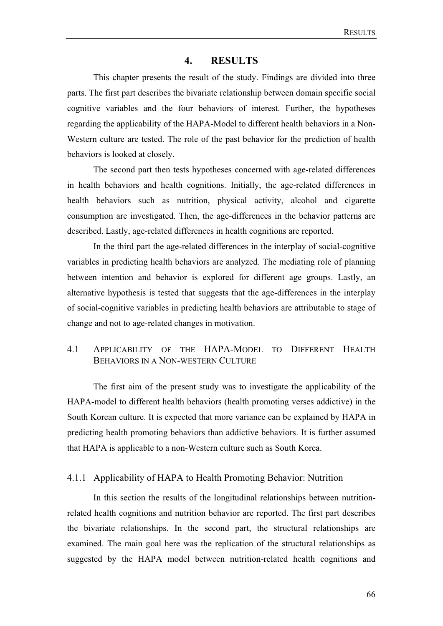## **4. RESULTS**

This chapter presents the result of the study. Findings are divided into three parts. The first part describes the bivariate relationship between domain specific social cognitive variables and the four behaviors of interest. Further, the hypotheses regarding the applicability of the HAPA-Model to different health behaviors in a Non-Western culture are tested. The role of the past behavior for the prediction of health behaviors is looked at closely.

The second part then tests hypotheses concerned with age-related differences in health behaviors and health cognitions. Initially, the age-related differences in health behaviors such as nutrition, physical activity, alcohol and cigarette consumption are investigated. Then, the age-differences in the behavior patterns are described. Lastly, age-related differences in health cognitions are reported.

In the third part the age-related differences in the interplay of social-cognitive variables in predicting health behaviors are analyzed. The mediating role of planning between intention and behavior is explored for different age groups. Lastly, an alternative hypothesis is tested that suggests that the age-differences in the interplay of social-cognitive variables in predicting health behaviors are attributable to stage of change and not to age-related changes in motivation.

## 4.1 APPLICABILITY OF THE HAPA-MODEL TO DIFFERENT HEALTH BEHAVIORS IN A NON-WESTERN CULTURE

The first aim of the present study was to investigate the applicability of the HAPA-model to different health behaviors (health promoting verses addictive) in the South Korean culture. It is expected that more variance can be explained by HAPA in predicting health promoting behaviors than addictive behaviors. It is further assumed that HAPA is applicable to a non-Western culture such as South Korea.

## 4.1.1 Applicability of HAPA to Health Promoting Behavior: Nutrition

In this section the results of the longitudinal relationships between nutritionrelated health cognitions and nutrition behavior are reported. The first part describes the bivariate relationships. In the second part, the structural relationships are examined. The main goal here was the replication of the structural relationships as suggested by the HAPA model between nutrition-related health cognitions and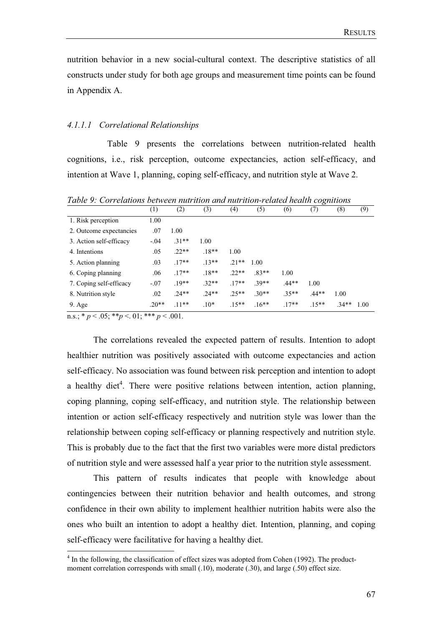nutrition behavior in a new social-cultural context. The descriptive statistics of all constructs under study for both age groups and measurement time points can be found in Appendix A.

#### *4.1.1.1 Correlational Relationships*

 Table 9 presents the correlations between nutrition-related health cognitions, i.e., risk perception, outcome expectancies, action self-efficacy, and intention at Wave 1, planning, coping self-efficacy, and nutrition style at Wave 2.

| (1)    | (2)        | (3)     | (4)     | (5)     | (6)     | (7)     | (8)     | (9)  |
|--------|------------|---------|---------|---------|---------|---------|---------|------|
| 1.00   |            |         |         |         |         |         |         |      |
| .07    | 1.00       |         |         |         |         |         |         |      |
| $-.04$ | $.31**$    | 1.00    |         |         |         |         |         |      |
| .05    | $.22**$    | $.18**$ | 1.00    |         |         |         |         |      |
| .03    | $.17**$    | $.13**$ | $.21**$ | 1.00    |         |         |         |      |
| .06    | $.17**$    | $.18**$ | $22**$  | $.83**$ | 1.00    |         |         |      |
| $-.07$ | $.19**$    | $.32**$ | $.17**$ | $.39**$ | $.44**$ | 1.00    |         |      |
| .02    | $.24**$    | $.24**$ | $25**$  | $.30**$ | $.35**$ | $.44**$ | 1.00    |      |
| $20**$ | $.11**$    | $.10*$  | $.15**$ | $.16**$ | $.17**$ | $.15**$ | $.34**$ | 1.00 |
|        | ملومان ملو | . 0.01  |         |         |         |         |         |      |

*Table 9: Correlations between nutrition and nutrition-related health cognitions* 

n.s.;  $* p < .05$ ;  $* p < .01$ ;  $* * p < .001$ .

The correlations revealed the expected pattern of results. Intention to adopt healthier nutrition was positively associated with outcome expectancies and action self-efficacy. No association was found between risk perception and intention to adopt a healthy diet<sup>4</sup>. There were positive relations between intention, action planning, coping planning, coping self-efficacy, and nutrition style. The relationship between intention or action self-efficacy respectively and nutrition style was lower than the relationship between coping self-efficacy or planning respectively and nutrition style. This is probably due to the fact that the first two variables were more distal predictors of nutrition style and were assessed half a year prior to the nutrition style assessment.

This pattern of results indicates that people with knowledge about contingencies between their nutrition behavior and health outcomes, and strong confidence in their own ability to implement healthier nutrition habits were also the ones who built an intention to adopt a healthy diet. Intention, planning, and coping self-efficacy were facilitative for having a healthy diet.

<sup>&</sup>lt;sup>4</sup> In the following, the classification of effect sizes was adopted from Cohen (1992). The productmoment correlation corresponds with small  $(.10)$ , moderate  $(.30)$ , and large  $(.50)$  effect size.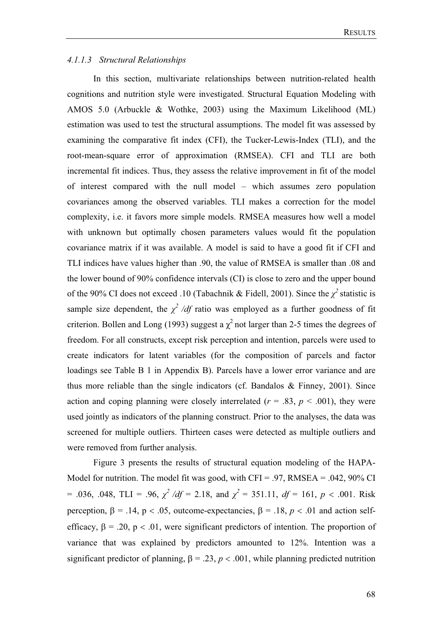## *4.1.1.3 Structural Relationships*

In this section, multivariate relationships between nutrition-related health cognitions and nutrition style were investigated. Structural Equation Modeling with AMOS 5.0 (Arbuckle & Wothke, 2003) using the Maximum Likelihood (ML) estimation was used to test the structural assumptions. The model fit was assessed by examining the comparative fit index (CFI), the Tucker-Lewis-Index (TLI), and the root-mean-square error of approximation (RMSEA). CFI and TLI are both incremental fit indices. Thus, they assess the relative improvement in fit of the model of interest compared with the null model – which assumes zero population covariances among the observed variables. TLI makes a correction for the model complexity, i.e. it favors more simple models. RMSEA measures how well a model with unknown but optimally chosen parameters values would fit the population covariance matrix if it was available. A model is said to have a good fit if CFI and TLI indices have values higher than .90, the value of RMSEA is smaller than .08 and the lower bound of 90% confidence intervals (CI) is close to zero and the upper bound of the 90% CI does not exceed .10 (Tabachnik & Fidell, 2001). Since the  $\chi^2$  statistic is sample size dependent, the  $\chi^2$  /df ratio was employed as a further goodness of fit criterion. Bollen and Long (1993) suggest a  $\chi^2$  not larger than 2-5 times the degrees of freedom. For all constructs, except risk perception and intention, parcels were used to create indicators for latent variables (for the composition of parcels and factor loadings see Table B 1 in Appendix B). Parcels have a lower error variance and are thus more reliable than the single indicators (cf. Bandalos  $\&$  Finney, 2001). Since action and coping planning were closely interrelated  $(r = .83, p < .001)$ , they were used jointly as indicators of the planning construct. Prior to the analyses, the data was screened for multiple outliers. Thirteen cases were detected as multiple outliers and were removed from further analysis.

Figure 3 presents the results of structural equation modeling of the HAPA-Model for nutrition. The model fit was good, with  $CFI = .97$ , RMSEA = .042, 90% CI  $= .036, .048, TLI = .96, \ \chi^2/df = 2.18, \text{ and } \chi^2 = 351.11, \ df = 161, \ p < .001. \text{ Risk}$ perception,  $\beta = .14$ ,  $p < .05$ , outcome-expectancies,  $\beta = .18$ ,  $p < .01$  and action selfefficacy,  $\beta = .20$ ,  $p < .01$ , were significant predictors of intention. The proportion of variance that was explained by predictors amounted to 12%. Intention was a significant predictor of planning,  $\beta = .23$ ,  $p < .001$ , while planning predicted nutrition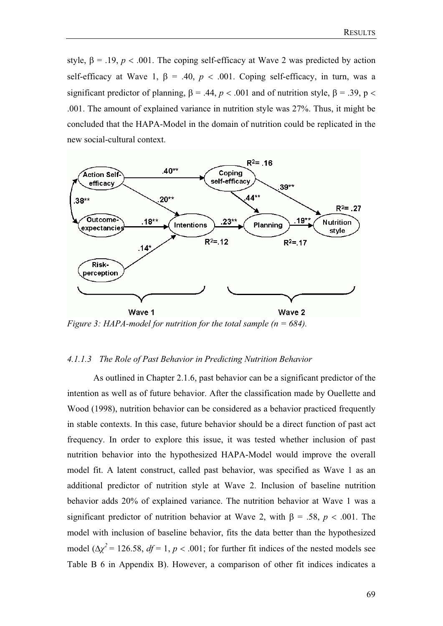style,  $\beta = .19$ ,  $p < .001$ . The coping self-efficacy at Wave 2 was predicted by action self-efficacy at Wave 1,  $\beta$  = .40,  $p < .001$ . Coping self-efficacy, in turn, was a significant predictor of planning,  $\beta = .44$ ,  $p < .001$  and of nutrition style,  $\beta = .39$ ,  $p <$ .001. The amount of explained variance in nutrition style was 27%. Thus, it might be concluded that the HAPA-Model in the domain of nutrition could be replicated in the new social-cultural context.



*Figure 3: HAPA-model for nutrition for the total sample (n = 684).* 

### *4.1.1.3 The Role of Past Behavior in Predicting Nutrition Behavior*

As outlined in Chapter 2.1.6, past behavior can be a significant predictor of the intention as well as of future behavior. After the classification made by Ouellette and Wood (1998), nutrition behavior can be considered as a behavior practiced frequently in stable contexts. In this case, future behavior should be a direct function of past act frequency. In order to explore this issue, it was tested whether inclusion of past nutrition behavior into the hypothesized HAPA-Model would improve the overall model fit. A latent construct, called past behavior, was specified as Wave 1 as an additional predictor of nutrition style at Wave 2. Inclusion of baseline nutrition behavior adds 20% of explained variance. The nutrition behavior at Wave 1 was a significant predictor of nutrition behavior at Wave 2, with  $\beta$  = .58, *p* < .001. The model with inclusion of baseline behavior, fits the data better than the hypothesized model  $(\Delta \chi^2 = 126.58, df = 1, p < .001$ ; for further fit indices of the nested models see Table B 6 in Appendix B). However, a comparison of other fit indices indicates a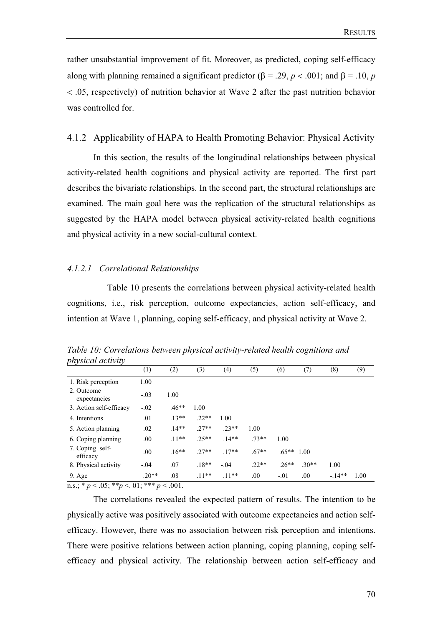rather unsubstantial improvement of fit. Moreover, as predicted, coping self-efficacy along with planning remained a significant predictor ( $\beta$  = .29, *p* < .001; and  $\beta$  = .10, *p*  .05, respectively) of nutrition behavior at Wave 2 after the past nutrition behavior was controlled for.

### 4.1.2 Applicability of HAPA to Health Promoting Behavior: Physical Activity

In this section, the results of the longitudinal relationships between physical activity-related health cognitions and physical activity are reported. The first part describes the bivariate relationships. In the second part, the structural relationships are examined. The main goal here was the replication of the structural relationships as suggested by the HAPA model between physical activity-related health cognitions and physical activity in a new social-cultural context.

#### *4.1.2.1 Correlational Relationships*

 Table 10 presents the correlations between physical activity-related health cognitions, i.e., risk perception, outcome expectancies, action self-efficacy, and intention at Wave 1, planning, coping self-efficacy, and physical activity at Wave 2.

| puysical activity           |         |         |         |         |         |               |         |         |      |
|-----------------------------|---------|---------|---------|---------|---------|---------------|---------|---------|------|
|                             | (1)     | (2)     | (3)     | (4)     | (5)     | (6)           | (7)     | (8)     | (9)  |
| 1. Risk perception          | 1.00    |         |         |         |         |               |         |         |      |
| 2. Outcome<br>expectancies  | $-.03$  | 1.00    |         |         |         |               |         |         |      |
| 3. Action self-efficacy     | $-.02$  | $.46**$ | 1.00    |         |         |               |         |         |      |
| 4. Intentions               | .01     | $.13**$ | $.22**$ | 1.00    |         |               |         |         |      |
| 5. Action planning          | .02     | $.14**$ | $.27**$ | $.23**$ | 1.00    |               |         |         |      |
| 6. Coping planning          | .00.    | $.11**$ | $25**$  | $.14**$ | $.73**$ | 1.00          |         |         |      |
| 7. Coping self-<br>efficacy | .00.    | $.16**$ | $.27**$ | $.17**$ | $.67**$ | $.65***$ 1.00 |         |         |      |
| 8. Physical activity        | $-.04$  | .07     | $.18**$ | $-.04$  | $.22**$ | $.26**$       | $.30**$ | 1.00    |      |
| $9. \text{Age}$             | $.20**$ | .08     | $.11**$ | $.11**$ | .00     | $-.01$        | .00     | $-14**$ | 1.00 |

*Table 10: Correlations between physical activity-related health cognitions and physical activity* 

 $n.s.; * p < .05; ** p < .01; *** p < .001.$ 

The correlations revealed the expected pattern of results. The intention to be physically active was positively associated with outcome expectancies and action selfefficacy. However, there was no association between risk perception and intentions. There were positive relations between action planning, coping planning, coping selfefficacy and physical activity. The relationship between action self-efficacy and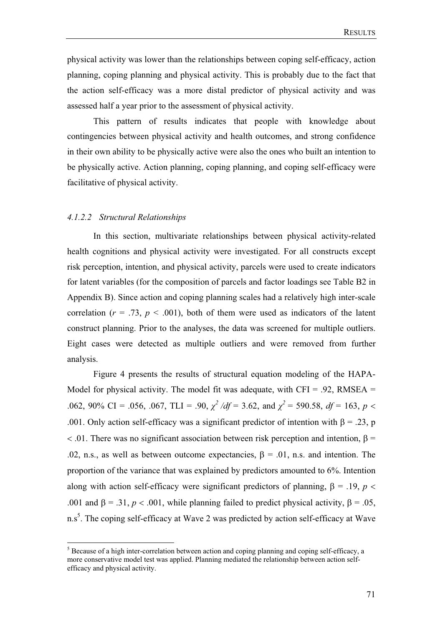physical activity was lower than the relationships between coping self-efficacy, action planning, coping planning and physical activity. This is probably due to the fact that the action self-efficacy was a more distal predictor of physical activity and was assessed half a year prior to the assessment of physical activity.

This pattern of results indicates that people with knowledge about contingencies between physical activity and health outcomes, and strong confidence in their own ability to be physically active were also the ones who built an intention to be physically active. Action planning, coping planning, and coping self-efficacy were facilitative of physical activity.

#### *4.1.2.2 Structural Relationships*

In this section, multivariate relationships between physical activity-related health cognitions and physical activity were investigated. For all constructs except risk perception, intention, and physical activity, parcels were used to create indicators for latent variables (for the composition of parcels and factor loadings see Table B2 in Appendix B). Since action and coping planning scales had a relatively high inter-scale correlation ( $r = .73$ ,  $p < .001$ ), both of them were used as indicators of the latent construct planning. Prior to the analyses, the data was screened for multiple outliers. Eight cases were detected as multiple outliers and were removed from further analysis.

Figure 4 presents the results of structural equation modeling of the HAPA-Model for physical activity. The model fit was adequate, with  $CFI = .92$ , RMSEA = .062, 90% CI = .056, .067, TLI = .90,  $\chi^2/df = 3.62$ , and  $\chi^2 = 590.58$ ,  $df = 163$ ,  $p <$ .001. Only action self-efficacy was a significant predictor of intention with  $\beta = .23$ , p  $\langle 0.01 \rangle$ . There was no significant association between risk perception and intention,  $\beta =$ .02, n.s., as well as between outcome expectancies,  $\beta = 0.01$ , n.s. and intention. The proportion of the variance that was explained by predictors amounted to 6%. Intention along with action self-efficacy were significant predictors of planning,  $\beta = .19$ ,  $p <$ .001 and  $\beta = 0.31$ ,  $p < 0.001$ , while planning failed to predict physical activity,  $\beta = 0.05$ , n.s<sup>5</sup>. The coping self-efficacy at Wave 2 was predicted by action self-efficacy at Wave

<sup>&</sup>lt;sup>5</sup> Because of a high inter-correlation between action and coping planning and coping self-efficacy, a more conservative model test was applied. Planning mediated the relationship between action selfefficacy and physical activity.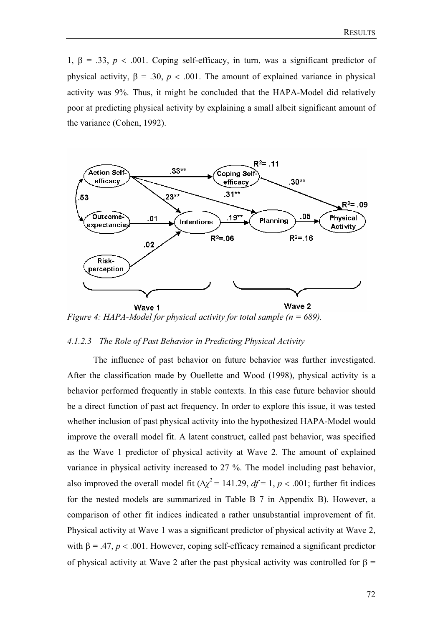1,  $\beta = .33$ ,  $p < .001$ . Coping self-efficacy, in turn, was a significant predictor of physical activity,  $\beta = .30$ ,  $p < .001$ . The amount of explained variance in physical activity was 9%. Thus, it might be concluded that the HAPA-Model did relatively poor at predicting physical activity by explaining a small albeit significant amount of the variance (Cohen, 1992).



*Figure 4: HAPA-Model for physical activity for total sample (n = 689).* 

## *4.1.2.3 The Role of Past Behavior in Predicting Physical Activity*

 The influence of past behavior on future behavior was further investigated. After the classification made by Ouellette and Wood (1998), physical activity is a behavior performed frequently in stable contexts. In this case future behavior should be a direct function of past act frequency. In order to explore this issue, it was tested whether inclusion of past physical activity into the hypothesized HAPA-Model would improve the overall model fit. A latent construct, called past behavior, was specified as the Wave 1 predictor of physical activity at Wave 2. The amount of explained variance in physical activity increased to 27 %. The model including past behavior, also improved the overall model fit  $(\Delta \chi^2 = 141.29, df = 1, p < .001$ ; further fit indices for the nested models are summarized in Table B 7 in Appendix B). However, a comparison of other fit indices indicated a rather unsubstantial improvement of fit. Physical activity at Wave 1 was a significant predictor of physical activity at Wave 2, with  $\beta = .47$ ,  $p < .001$ . However, coping self-efficacy remained a significant predictor of physical activity at Wave 2 after the past physical activity was controlled for  $\beta$  =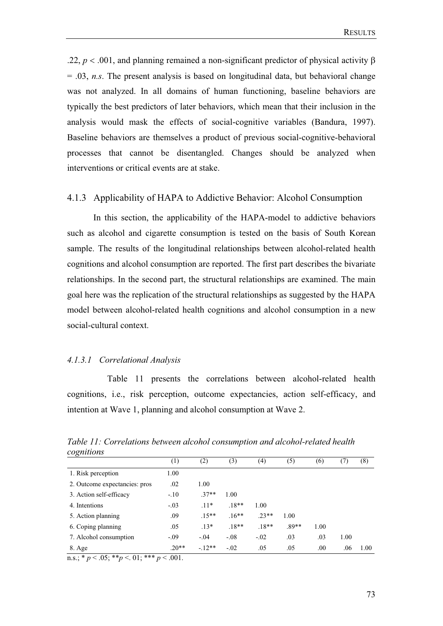.22,  $p < .001$ , and planning remained a non-significant predictor of physical activity  $\beta$ = .03, *n.s*. The present analysis is based on longitudinal data, but behavioral change was not analyzed. In all domains of human functioning, baseline behaviors are typically the best predictors of later behaviors, which mean that their inclusion in the analysis would mask the effects of social-cognitive variables (Bandura, 1997). Baseline behaviors are themselves a product of previous social-cognitive-behavioral processes that cannot be disentangled. Changes should be analyzed when interventions or critical events are at stake.

## 4.1.3 Applicability of HAPA to Addictive Behavior: Alcohol Consumption

In this section, the applicability of the HAPA-model to addictive behaviors such as alcohol and cigarette consumption is tested on the basis of South Korean sample. The results of the longitudinal relationships between alcohol-related health cognitions and alcohol consumption are reported. The first part describes the bivariate relationships. In the second part, the structural relationships are examined. The main goal here was the replication of the structural relationships as suggested by the HAPA model between alcohol-related health cognitions and alcohol consumption in a new social-cultural context.

#### *4.1.3.1 Correlational Analysis*

 Table 11 presents the correlations between alcohol-related health cognitions, i.e., risk perception, outcome expectancies, action self-efficacy, and intention at Wave 1, planning and alcohol consumption at Wave 2.

| cognitions                                                                            |         |         |         |                   |         |      |      |      |
|---------------------------------------------------------------------------------------|---------|---------|---------|-------------------|---------|------|------|------|
|                                                                                       | (1)     | (2)     | (3)     | $\left( 4\right)$ | (5)     | (6)  | (7)  | (8)  |
| 1. Risk perception                                                                    | 1.00    |         |         |                   |         |      |      |      |
| 2. Outcome expectancies: pros                                                         | .02     | 1.00    |         |                   |         |      |      |      |
| 3. Action self-efficacy                                                               | $-.10$  | $.37**$ | 1.00    |                   |         |      |      |      |
| 4. Intentions                                                                         | $-.03$  | $.11*$  | $.18**$ | 1.00              |         |      |      |      |
| 5. Action planning                                                                    | .09     | $.15**$ | $.16**$ | $.23**$           | 1.00    |      |      |      |
| 6. Coping planning                                                                    | .05     | $.13*$  | $.18**$ | $.18**$           | $.89**$ | 1.00 |      |      |
| 7. Alcohol consumption                                                                | $-.09$  | $-.04$  | $-.08$  | $-.02$            | .03     | .03  | 1.00 |      |
| 8. Age                                                                                | $.20**$ | $-12**$ | $-.02$  | .05               | .05     | .00  | .06  | 1.00 |
| ملومان ملو<br>$\sim$ $\sim$ $\sim$ $\sim$ $\sim$ $\sim$<br>$\sim$ 0.1<br>$\mathbf{a}$ | . 001   |         |         |                   |         |      |      |      |

*Table 11: Correlations between alcohol consumption and alcohol-related health cognitions*

n.s.;  $* p < .05$ ;  $* p < .01$ ;  $* * p < .001$ .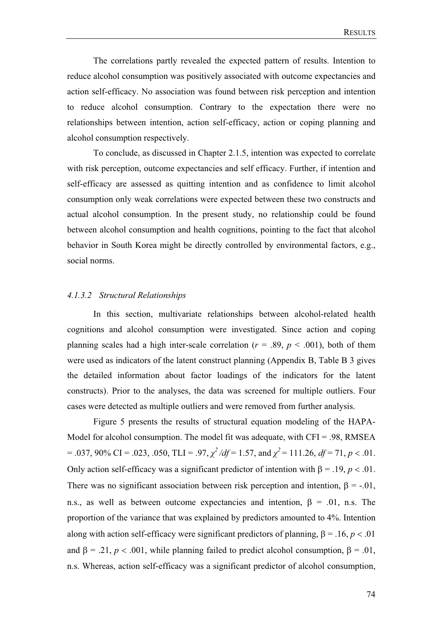The correlations partly revealed the expected pattern of results. Intention to reduce alcohol consumption was positively associated with outcome expectancies and action self-efficacy. No association was found between risk perception and intention to reduce alcohol consumption. Contrary to the expectation there were no relationships between intention, action self-efficacy, action or coping planning and alcohol consumption respectively.

 To conclude, as discussed in Chapter 2.1.5, intention was expected to correlate with risk perception, outcome expectancies and self efficacy. Further, if intention and self-efficacy are assessed as quitting intention and as confidence to limit alcohol consumption only weak correlations were expected between these two constructs and actual alcohol consumption. In the present study, no relationship could be found between alcohol consumption and health cognitions, pointing to the fact that alcohol behavior in South Korea might be directly controlled by environmental factors, e.g., social norms.

## *4.1.3.2 Structural Relationships*

In this section, multivariate relationships between alcohol-related health cognitions and alcohol consumption were investigated. Since action and coping planning scales had a high inter-scale correlation ( $r = .89$ ,  $p < .001$ ), both of them were used as indicators of the latent construct planning (Appendix B, Table B 3 gives the detailed information about factor loadings of the indicators for the latent constructs). Prior to the analyses, the data was screened for multiple outliers. Four cases were detected as multiple outliers and were removed from further analysis.

Figure 5 presents the results of structural equation modeling of the HAPA-Model for alcohol consumption. The model fit was adequate, with  $CFI = .98$ , RMSEA  $= .037,90\%$  CI =  $.023, .050, TLI = .97, \chi^2/df = 1.57,$  and  $\chi^2 = 111.26, df = 71, p < .01$ . Only action self-efficacy was a significant predictor of intention with  $\beta = .19$ ,  $p < .01$ . There was no significant association between risk perception and intention,  $\beta = -0.01$ , n.s., as well as between outcome expectancies and intention,  $\beta = .01$ , n.s. The proportion of the variance that was explained by predictors amounted to 4%. Intention along with action self-efficacy were significant predictors of planning,  $\beta = .16$ ,  $p < .01$ and  $\beta = .21$ ,  $p < .001$ , while planning failed to predict alcohol consumption,  $\beta = .01$ . n.s. Whereas, action self-efficacy was a significant predictor of alcohol consumption,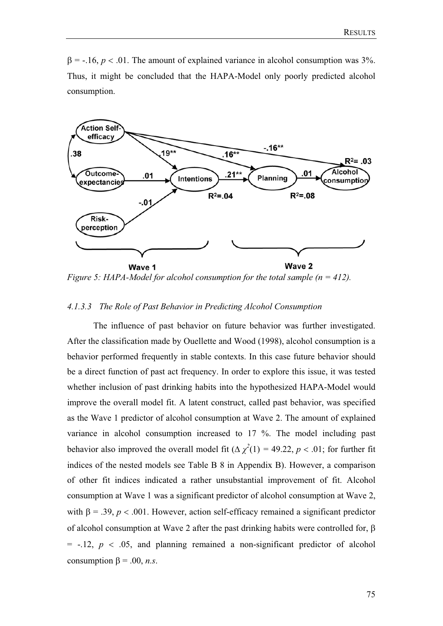$\beta$  = -.16,  $p < .01$ . The amount of explained variance in alcohol consumption was 3%. Thus, it might be concluded that the HAPA-Model only poorly predicted alcohol consumption.



*Figure 5: HAPA-Model for alcohol consumption for the total sample (n = 412).* 

## *4.1.3.3 The Role of Past Behavior in Predicting Alcohol Consumption*

 The influence of past behavior on future behavior was further investigated. After the classification made by Ouellette and Wood (1998), alcohol consumption is a behavior performed frequently in stable contexts. In this case future behavior should be a direct function of past act frequency. In order to explore this issue, it was tested whether inclusion of past drinking habits into the hypothesized HAPA-Model would improve the overall model fit. A latent construct, called past behavior, was specified as the Wave 1 predictor of alcohol consumption at Wave 2. The amount of explained variance in alcohol consumption increased to 17 %. The model including past behavior also improved the overall model fit  $(\Delta \chi^2(1) = 49.22, p < .01)$ ; for further fit indices of the nested models see Table B 8 in Appendix B). However, a comparison of other fit indices indicated a rather unsubstantial improvement of fit. Alcohol consumption at Wave 1 was a significant predictor of alcohol consumption at Wave 2, with  $\beta = .39$ ,  $p < .001$ . However, action self-efficacy remained a significant predictor of alcohol consumption at Wave 2 after the past drinking habits were controlled for,  $\beta$  $=$  -.12,  $p < .05$ , and planning remained a non-significant predictor of alcohol consumption  $\beta$  = .00, *n.s.*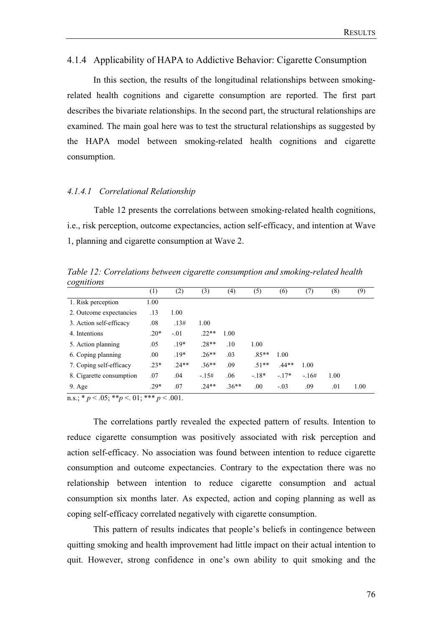#### 4.1.4 Applicability of HAPA to Addictive Behavior: Cigarette Consumption

In this section, the results of the longitudinal relationships between smokingrelated health cognitions and cigarette consumption are reported. The first part describes the bivariate relationships. In the second part, the structural relationships are examined. The main goal here was to test the structural relationships as suggested by the HAPA model between smoking-related health cognitions and cigarette consumption.

### *4.1.4.1 Correlational Relationship*

 Table 12 presents the correlations between smoking-related health cognitions, i.e., risk perception, outcome expectancies, action self-efficacy, and intention at Wave 1, planning and cigarette consumption at Wave 2.

*Table 12: Correlations between cigarette consumption and smoking-related health cognitions*

|                          | (1)    | (2)    | (3)     | (4)     | (5)     | (6)     | (7)    | (8)  | (9)  |
|--------------------------|--------|--------|---------|---------|---------|---------|--------|------|------|
| 1. Risk perception       | 1.00   |        |         |         |         |         |        |      |      |
| 2. Outcome expectancies  | .13    | 1.00   |         |         |         |         |        |      |      |
| 3. Action self-efficacy  | .08    | .13#   | 1.00    |         |         |         |        |      |      |
| 4. Intentions            | $.20*$ | $-.01$ | $.22**$ | 1.00    |         |         |        |      |      |
| 5. Action planning       | .05    | $.19*$ | $.28**$ | .10     | 1.00    |         |        |      |      |
| 6. Coping planning       | .00.   | $.19*$ | $.26**$ | .03     | $.85**$ | 1.00    |        |      |      |
| 7. Coping self-efficacy  | $.23*$ | $24**$ | $.36**$ | .09     | $.51**$ | $.44**$ | 1.00   |      |      |
| 8. Cigarette consumption | .07    | .04    | $-15#$  | .06     | $-18*$  | $-.17*$ | $-16#$ | 1.00 |      |
| $9. \text{Age}$          | $.29*$ | .07    | $.24**$ | $.36**$ | .00     | $-.03$  | .09    | .01  | 1.00 |

 $n.s.; * p < .05; ** p < .01; *** p < .001.$ 

The correlations partly revealed the expected pattern of results. Intention to reduce cigarette consumption was positively associated with risk perception and action self-efficacy. No association was found between intention to reduce cigarette consumption and outcome expectancies. Contrary to the expectation there was no relationship between intention to reduce cigarette consumption and actual consumption six months later. As expected, action and coping planning as well as coping self-efficacy correlated negatively with cigarette consumption.

This pattern of results indicates that people's beliefs in contingence between quitting smoking and health improvement had little impact on their actual intention to quit. However, strong confidence in one's own ability to quit smoking and the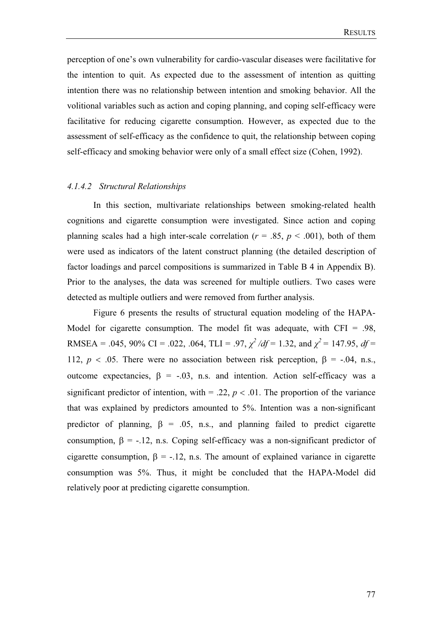perception of one's own vulnerability for cardio-vascular diseases were facilitative for the intention to quit. As expected due to the assessment of intention as quitting intention there was no relationship between intention and smoking behavior. All the volitional variables such as action and coping planning, and coping self-efficacy were facilitative for reducing cigarette consumption. However, as expected due to the assessment of self-efficacy as the confidence to quit, the relationship between coping self-efficacy and smoking behavior were only of a small effect size (Cohen, 1992).

## *4.1.4.2 Structural Relationships*

In this section, multivariate relationships between smoking-related health cognitions and cigarette consumption were investigated. Since action and coping planning scales had a high inter-scale correlation ( $r = .85$ ,  $p < .001$ ), both of them were used as indicators of the latent construct planning (the detailed description of factor loadings and parcel compositions is summarized in Table B 4 in Appendix B). Prior to the analyses, the data was screened for multiple outliers. Two cases were detected as multiple outliers and were removed from further analysis.

Figure 6 presents the results of structural equation modeling of the HAPA-Model for cigarette consumption. The model fit was adequate, with  $CFI = .98$ , RMSEA = .045, 90% CI = .022, .064, TLI = .97,  $\chi^2$  /df = 1.32, and  $\chi^2$  = 147.95, df = 112,  $p < .05$ . There were no association between risk perception,  $\beta = -.04$ , n.s., outcome expectancies,  $\beta$  = -.03, n.s. and intention. Action self-efficacy was a significant predictor of intention, with  $= .22$ ,  $p < .01$ . The proportion of the variance that was explained by predictors amounted to 5%. Intention was a non-significant predictor of planning,  $\beta = .05$ , n.s., and planning failed to predict cigarette consumption,  $\beta$  = -.12, n.s. Coping self-efficacy was a non-significant predictor of cigarette consumption,  $\beta$  = -.12, n.s. The amount of explained variance in cigarette consumption was 5%. Thus, it might be concluded that the HAPA-Model did relatively poor at predicting cigarette consumption.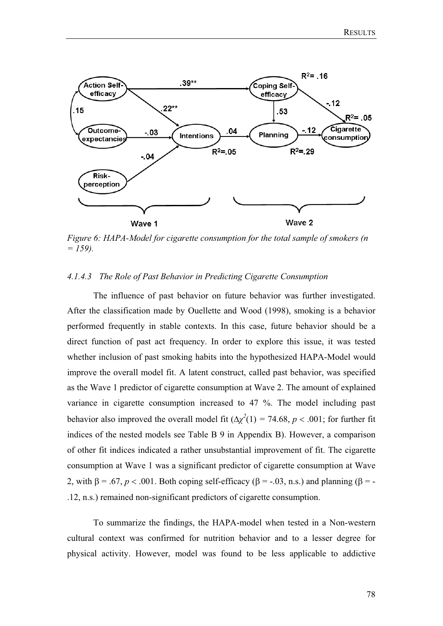

*Figure 6: HAPA-Model for cigarette consumption for the total sample of smokers (n = 159).* 

#### *4.1.4.3 The Role of Past Behavior in Predicting Cigarette Consumption*

The influence of past behavior on future behavior was further investigated. After the classification made by Ouellette and Wood (1998), smoking is a behavior performed frequently in stable contexts. In this case, future behavior should be a direct function of past act frequency. In order to explore this issue, it was tested whether inclusion of past smoking habits into the hypothesized HAPA-Model would improve the overall model fit. A latent construct, called past behavior, was specified as the Wave 1 predictor of cigarette consumption at Wave 2. The amount of explained variance in cigarette consumption increased to 47 %. The model including past behavior also improved the overall model fit  $(\Delta \chi^2(1) = 74.68, p < .001$ ; for further fit indices of the nested models see Table B 9 in Appendix B). However, a comparison of other fit indices indicated a rather unsubstantial improvement of fit. The cigarette consumption at Wave 1 was a significant predictor of cigarette consumption at Wave 2, with  $\beta = .67$ ,  $p < .001$ . Both coping self-efficacy ( $\beta = -.03$ , n.s.) and planning ( $\beta = -$ .12, n.s.) remained non-significant predictors of cigarette consumption.

To summarize the findings, the HAPA-model when tested in a Non-western cultural context was confirmed for nutrition behavior and to a lesser degree for physical activity. However, model was found to be less applicable to addictive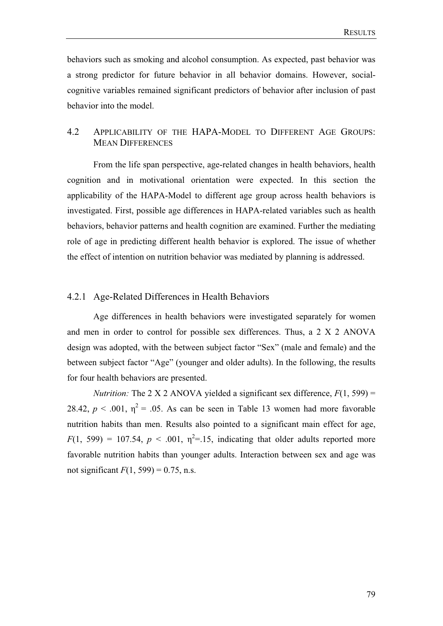behaviors such as smoking and alcohol consumption. As expected, past behavior was a strong predictor for future behavior in all behavior domains. However, socialcognitive variables remained significant predictors of behavior after inclusion of past behavior into the model.

## 4.2 APPLICABILITY OF THE HAPA-MODEL TO DIFFERENT AGE GROUPS: MEAN DIFFERENCES

From the life span perspective, age-related changes in health behaviors, health cognition and in motivational orientation were expected. In this section the applicability of the HAPA-Model to different age group across health behaviors is investigated. First, possible age differences in HAPA-related variables such as health behaviors, behavior patterns and health cognition are examined. Further the mediating role of age in predicting different health behavior is explored. The issue of whether the effect of intention on nutrition behavior was mediated by planning is addressed.

## 4.2.1 Age-Related Differences in Health Behaviors

Age differences in health behaviors were investigated separately for women and men in order to control for possible sex differences. Thus, a 2 X 2 ANOVA design was adopted, with the between subject factor "Sex" (male and female) and the between subject factor "Age" (younger and older adults). In the following, the results for four health behaviors are presented.

*Nutrition:* The 2 X 2 ANOVA yielded a significant sex difference,  $F(1, 599)$  = 28.42,  $p < .001$ ,  $\eta^2 = .05$ . As can be seen in Table 13 women had more favorable nutrition habits than men. Results also pointed to a significant main effect for age,  $F(1, 599) = 107.54$ ,  $p < .001$ ,  $\eta^2 = .15$ , indicating that older adults reported more favorable nutrition habits than younger adults. Interaction between sex and age was not significant  $F(1, 599) = 0.75$ , n.s.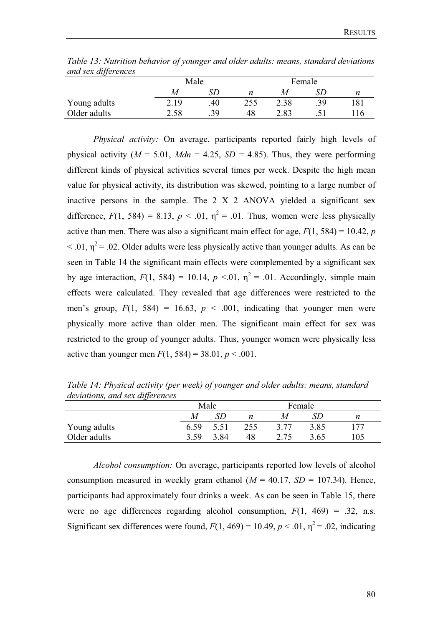| ana sex aggerences |      |      |        |      |     |     |  |
|--------------------|------|------|--------|------|-----|-----|--|
|                    |      | Male | Female |      |     |     |  |
|                    | M    |      |        | М    |     |     |  |
| Young adults       | 2.19 | .40  | 255    | 2.38 | .39 | 181 |  |
| Older adults       | 2.58 | .39  | 48     | 2.83 |     | 116 |  |

*Table 13: Nutrition behavior of younger and older adults: means, standard deviations and sex differences*

*Physical activity:* On average, participants reported fairly high levels of physical activity ( $M = 5.01$ ,  $Mdn = 4.25$ ,  $SD = 4.85$ ). Thus, they were performing different kinds of physical activities several times per week. Despite the high mean value for physical activity, its distribution was skewed, pointing to a large number of inactive persons in the sample. The 2 X 2 ANOVA yielded a significant sex difference,  $F(1, 584) = 8.13$ ,  $p < .01$ ,  $\eta^2 = .01$ . Thus, women were less physically active than men. There was also a significant main effect for age,  $F(1, 584) = 10.42$ , *p*  $\leq$  .01,  $n^2$  = .02. Older adults were less physically active than younger adults. As can be seen in Table 14 the significant main effects were complemented by a significant sex by age interaction,  $F(1, 584) = 10.14$ ,  $p < 0.01$ ,  $\eta^2 = 0.01$ . Accordingly, simple main effects were calculated. They revealed that age differences were restricted to the men's group,  $F(1, 584) = 16.63$ ,  $p < .001$ , indicating that younger men were physically more active than older men. The significant main effect for sex was restricted to the group of younger adults. Thus, younger women were physically less active than younger men  $F(1, 584) = 38.01, p < .001$ .

*deviations, and sex differences*  Male Female *M SD n M SD n* 

*Table 14: Physical activity (per week) of younger and older adults: means, standard* 

|              |      | Male |     | Female |      |     |
|--------------|------|------|-----|--------|------|-----|
|              | M    |      | n   | M      |      | n   |
| Young adults | 6.59 | 5.51 | 255 | 3.77   | 3.85 | 177 |
| Older adults | 3.59 | 3.84 | 48  | 2.75   | 3.65 | 105 |

*Alcohol consumption:* On average, participants reported low levels of alcohol consumption measured in weekly gram ethanol  $(M = 40.17, SD = 107.34)$ . Hence, participants had approximately four drinks a week. As can be seen in Table 15, there were no age differences regarding alcohol consumption,  $F(1, 469) = .32$ , n.s. Significant sex differences were found,  $F(1, 469) = 10.49$ ,  $p < .01$ ,  $\eta^2 = .02$ , indicating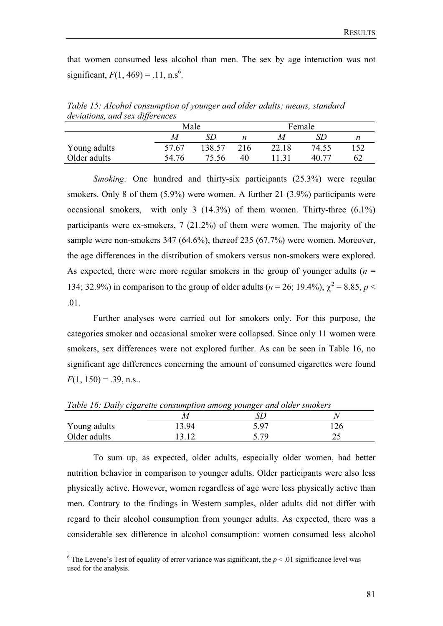that women consumed less alcohol than men. The sex by age interaction was not significant,  $F(1, 469) = .11$ , n.s<sup>6</sup>.

*Table 15: Alcohol consumption of younger and older adults: means, standard deviations, and sex differences* 

|              | Male  |        |     | Female |       |     |
|--------------|-------|--------|-----|--------|-------|-----|
|              | M     |        | n   | Μ      | SD    |     |
| Young adults | 57.67 | 138.57 | 216 | 22.18  | 74.55 | 152 |
| Older adults | 54.76 | 75.56  | 40  |        | 40.77 | 62  |

*Smoking:* One hundred and thirty-six participants (25.3%) were regular smokers. Only 8 of them (5.9%) were women. A further 21 (3.9%) participants were occasional smokers, with only 3  $(14.3\%)$  of them women. Thirty-three  $(6.1\%)$ participants were ex-smokers, 7 (21.2%) of them were women. The majority of the sample were non-smokers 347 (64.6%), thereof 235 (67.7%) were women. Moreover, the age differences in the distribution of smokers versus non-smokers were explored. As expected, there were more regular smokers in the group of younger adults  $(n =$ 134; 32.9%) in comparison to the group of older adults ( $n = 26$ ; 19.4%),  $\chi^2 = 8.85$ ,  $p <$ .01.

Further analyses were carried out for smokers only. For this purpose, the categories smoker and occasional smoker were collapsed. Since only 11 women were smokers, sex differences were not explored further. As can be seen in Table 16, no significant age differences concerning the amount of consumed cigarettes were found  $F(1, 150) = .39$ , n.s..

| Table 10: Daily cigarette consumption among younger and otder smokers |       |      |     |  |  |  |  |  |  |
|-----------------------------------------------------------------------|-------|------|-----|--|--|--|--|--|--|
|                                                                       | M     |      |     |  |  |  |  |  |  |
| Young adults                                                          | 13.94 | 5.97 | 126 |  |  |  |  |  |  |
| Older adults                                                          | 13.12 | 5.79 |     |  |  |  |  |  |  |

 $Table 16: Daih, i$ 

To sum up, as expected, older adults, especially older women, had better nutrition behavior in comparison to younger adults. Older participants were also less physically active. However, women regardless of age were less physically active than men. Contrary to the findings in Western samples, older adults did not differ with regard to their alcohol consumption from younger adults. As expected, there was a considerable sex difference in alcohol consumption: women consumed less alcohol

<sup>&</sup>lt;sup>6</sup> The Levene's Test of equality of error variance was significant, the  $p < 0.01$  significance level was used for the analysis.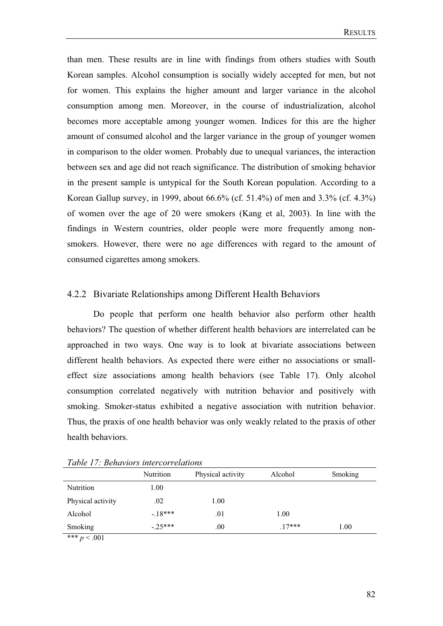than men. These results are in line with findings from others studies with South Korean samples. Alcohol consumption is socially widely accepted for men, but not for women. This explains the higher amount and larger variance in the alcohol consumption among men. Moreover, in the course of industrialization, alcohol becomes more acceptable among younger women. Indices for this are the higher amount of consumed alcohol and the larger variance in the group of younger women in comparison to the older women. Probably due to unequal variances, the interaction between sex and age did not reach significance. The distribution of smoking behavior in the present sample is untypical for the South Korean population. According to a Korean Gallup survey, in 1999, about 66.6% (cf. 51.4%) of men and 3.3% (cf. 4.3%) of women over the age of 20 were smokers (Kang et al, 2003). In line with the findings in Western countries, older people were more frequently among nonsmokers. However, there were no age differences with regard to the amount of consumed cigarettes among smokers.

#### 4.2.2 Bivariate Relationships among Different Health Behaviors

Do people that perform one health behavior also perform other health behaviors? The question of whether different health behaviors are interrelated can be approached in two ways. One way is to look at bivariate associations between different health behaviors. As expected there were either no associations or smalleffect size associations among health behaviors (see Table 17). Only alcohol consumption correlated negatively with nutrition behavior and positively with smoking. Smoker-status exhibited a negative association with nutrition behavior. Thus, the praxis of one health behavior was only weakly related to the praxis of other health behaviors.

| Tuble 17. Denambris mucredi chanons |           |                   |          |         |  |
|-------------------------------------|-----------|-------------------|----------|---------|--|
|                                     | Nutrition | Physical activity | Alcohol  | Smoking |  |
| Nutrition                           | 1.00      |                   |          |         |  |
| Physical activity                   | .02       | 1.00              |          |         |  |
| Alcohol                             | $-18***$  | .01               | 1.00     |         |  |
| Smoking                             | $-25***$  | .00               | $.17***$ | 1.00    |  |
| *** $\sim$ 001                      |           |                   |          |         |  |

*Table 17: Behaviors intercorrelations* 

 $p < .001$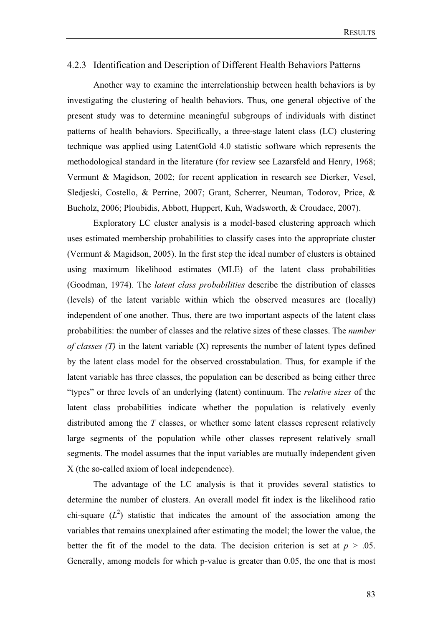## 4.2.3 Identification and Description of Different Health Behaviors Patterns

Another way to examine the interrelationship between health behaviors is by investigating the clustering of health behaviors. Thus, one general objective of the present study was to determine meaningful subgroups of individuals with distinct patterns of health behaviors. Specifically, a three-stage latent class (LC) clustering technique was applied using LatentGold 4.0 statistic software which represents the methodological standard in the literature (for review see Lazarsfeld and Henry, 1968; Vermunt & Magidson, 2002; for recent application in research see Dierker, Vesel, Sledjeski, Costello, & Perrine, 2007; Grant, Scherrer, Neuman, Todorov, Price, & Bucholz, 2006; Ploubidis, Abbott, Huppert, Kuh, Wadsworth, & Croudace, 2007).

Exploratory LC cluster analysis is a model-based clustering approach which uses estimated membership probabilities to classify cases into the appropriate cluster (Vermunt & Magidson, 2005). In the first step the ideal number of clusters is obtained using maximum likelihood estimates (MLE) of the latent class probabilities (Goodman, 1974). The *latent class probabilities* describe the distribution of classes (levels) of the latent variable within which the observed measures are (locally) independent of one another. Thus, there are two important aspects of the latent class probabilities: the number of classes and the relative sizes of these classes. The *number of classes (T)* in the latent variable (X) represents the number of latent types defined by the latent class model for the observed crosstabulation. Thus, for example if the latent variable has three classes, the population can be described as being either three "types" or three levels of an underlying (latent) continuum. The *relative sizes* of the latent class probabilities indicate whether the population is relatively evenly distributed among the *T* classes, or whether some latent classes represent relatively large segments of the population while other classes represent relatively small segments. The model assumes that the input variables are mutually independent given X (the so-called axiom of local independence).

The advantage of the LC analysis is that it provides several statistics to determine the number of clusters. An overall model fit index is the likelihood ratio chi-square  $(L^2)$  statistic that indicates the amount of the association among the variables that remains unexplained after estimating the model; the lower the value, the better the fit of the model to the data. The decision criterion is set at  $p > .05$ . Generally, among models for which p-value is greater than 0.05, the one that is most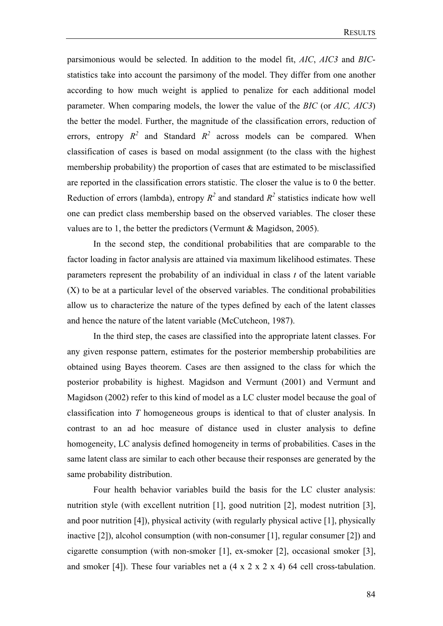parsimonious would be selected. In addition to the model fit, *AIC*, *AIC3* and *BIC*statistics take into account the parsimony of the model. They differ from one another according to how much weight is applied to penalize for each additional model parameter. When comparing models, the lower the value of the *BIC* (or *AIC, AIC3*) the better the model. Further, the magnitude of the classification errors, reduction of errors, entropy  $R^2$  and Standard  $R^2$  across models can be compared. When classification of cases is based on modal assignment (to the class with the highest membership probability) the proportion of cases that are estimated to be misclassified are reported in the classification errors statistic. The closer the value is to 0 the better. Reduction of errors (lambda), entropy  $R^2$  and standard  $R^2$  statistics indicate how well one can predict class membership based on the observed variables. The closer these values are to 1, the better the predictors (Vermunt  $& Magidson, 2005$ ).

In the second step, the conditional probabilities that are comparable to the factor loading in factor analysis are attained via maximum likelihood estimates. These parameters represent the probability of an individual in class *t* of the latent variable (X) to be at a particular level of the observed variables. The conditional probabilities allow us to characterize the nature of the types defined by each of the latent classes and hence the nature of the latent variable (McCutcheon, 1987).

In the third step, the cases are classified into the appropriate latent classes. For any given response pattern, estimates for the posterior membership probabilities are obtained using Bayes theorem. Cases are then assigned to the class for which the posterior probability is highest. Magidson and Vermunt (2001) and Vermunt and Magidson (2002) refer to this kind of model as a LC cluster model because the goal of classification into *T* homogeneous groups is identical to that of cluster analysis. In contrast to an ad hoc measure of distance used in cluster analysis to define homogeneity, LC analysis defined homogeneity in terms of probabilities. Cases in the same latent class are similar to each other because their responses are generated by the same probability distribution.

 Four health behavior variables build the basis for the LC cluster analysis: nutrition style (with excellent nutrition [1], good nutrition [2], modest nutrition [3], and poor nutrition [4]), physical activity (with regularly physical active [1], physically inactive [2]), alcohol consumption (with non-consumer [1], regular consumer [2]) and cigarette consumption (with non-smoker [1], ex-smoker [2], occasional smoker [3], and smoker [4]). These four variables net a (4 x 2 x 2 x 4) 64 cell cross-tabulation.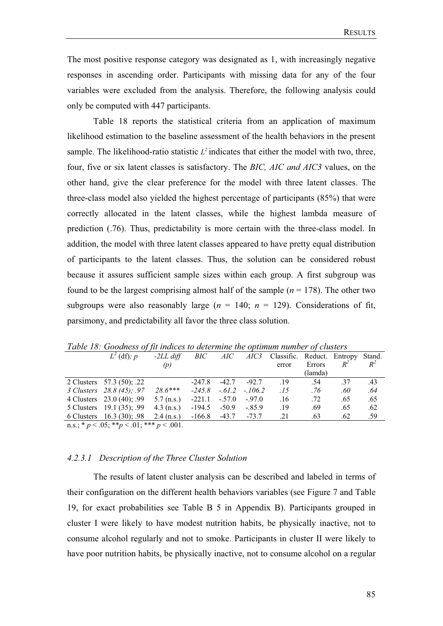The most positive response category was designated as 1, with increasingly negative responses in ascending order. Participants with missing data for any of the four variables were excluded from the analysis. Therefore, the following analysis could only be computed with 447 participants.

Table 18 reports the statistical criteria from an application of maximum likelihood estimation to the baseline assessment of the health behaviors in the present sample. The likelihood-ratio statistic  $L^2$  indicates that either the model with two, three, four, five or six latent classes is satisfactory. The *BIC, AIC and AIC3* values, on the other hand, give the clear preference for the model with three latent classes. The three-class model also yielded the highest percentage of participants (85%) that were correctly allocated in the latent classes, while the highest lambda measure of prediction (.76). Thus, predictability is more certain with the three-class model. In addition, the model with three latent classes appeared to have pretty equal distribution of participants to the latent classes. Thus, the solution can be considered robust because it assures sufficient sample sizes within each group. A first subgroup was found to be the largest comprising almost half of the sample  $(n = 178)$ . The other two subgroups were also reasonably large  $(n = 140; n = 129)$ . Considerations of fit, parsimony, and predictability all favor the three class solution.

| $L^2$ (df); p                                       | $-2LL$ diff  | BIC                      | AIC   |                             | AIC3 Classific. Reduct. Entropy Stand. |         |       |       |
|-----------------------------------------------------|--------------|--------------------------|-------|-----------------------------|----------------------------------------|---------|-------|-------|
|                                                     | (p)          |                          |       |                             | error                                  | Errors  | $R^2$ | $R^2$ |
|                                                     |              |                          |       |                             |                                        | (lamda) |       |       |
| 2 Clusters 57.3 (50); .22                           |              | $-247.8$                 |       | $-42.7 -92.7$               | .19                                    | .54     | .37   | .43   |
| 3 Clusters 28.8 (45); .97                           | $28.6***$    |                          |       | $-245.8$ $-.61.2$ $-.106.2$ | .15                                    | .76     | .60   | .64   |
| 4 Clusters 23.0 (40); .99                           | $5.7$ (n.s.) | $-221.1 - 57.0$          |       | $-.97.0$                    | .16                                    | .72     | .65   | .65   |
| 5 Clusters 19.1 (35); .99                           | $4.3$ (n.s.) | -194.5                   | -50.9 | $-.85.9$                    | .19                                    | .69     | .65   | .62   |
| 6 Clusters $16.3(30)$ ; .98                         | $2.4$ (n.s.) | $-166.8$ $-43.7$ $-73.7$ |       |                             | .21                                    | .63     | .62   | .59   |
| n.s.; * $p < .05$ ; ** $p < .01$ ; *** $p < .001$ . |              |                          |       |                             |                                        |         |       |       |

*Table 18: Goodness of fit indices to determine the optimum number of clusters* 

## *4.2.3.1 Description of the Three Cluster Solution*

The results of latent cluster analysis can be described and labeled in terms of their configuration on the different health behaviors variables (see Figure 7 and Table 19, for exact probabilities see Table B 5 in Appendix B). Participants grouped in cluster I were likely to have modest nutrition habits, be physically inactive, not to consume alcohol regularly and not to smoke. Participants in cluster II were likely to have poor nutrition habits, be physically inactive, not to consume alcohol on a regular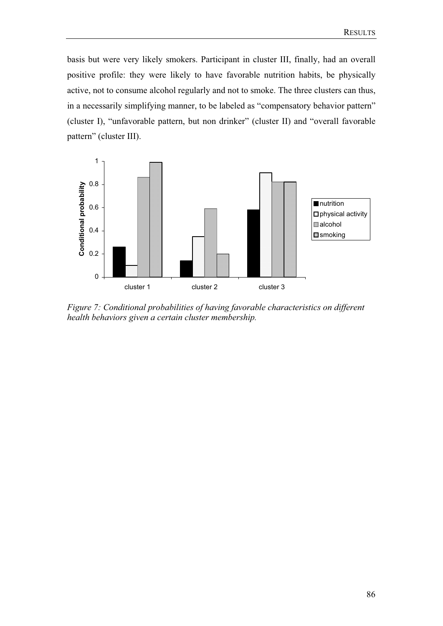basis but were very likely smokers. Participant in cluster III, finally, had an overall positive profile: they were likely to have favorable nutrition habits, be physically active, not to consume alcohol regularly and not to smoke. The three clusters can thus, in a necessarily simplifying manner, to be labeled as "compensatory behavior pattern" (cluster I), "unfavorable pattern, but non drinker" (cluster II) and "overall favorable pattern" (cluster III).



*Figure 7: Conditional probabilities of having favorable characteristics on different health behaviors given a certain cluster membership.*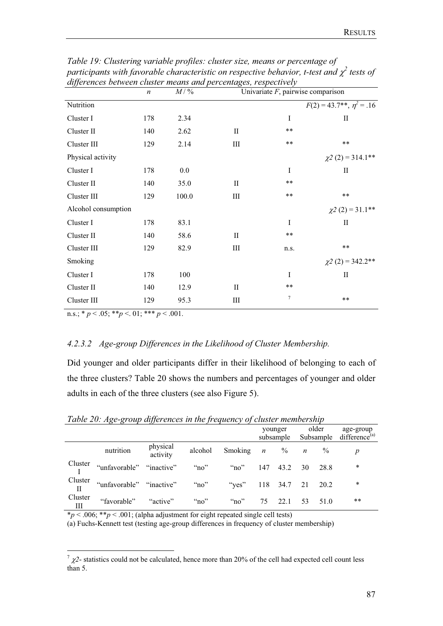| alfferences between cluster means and percentages, respectively | $\boldsymbol{n}$ | $M/$ % |              | Univariate $F$ , pairwise comparison |                                              |  |  |  |  |
|-----------------------------------------------------------------|------------------|--------|--------------|--------------------------------------|----------------------------------------------|--|--|--|--|
| Nutrition                                                       |                  |        |              |                                      | $F(2) = 43.7$ <sup>**</sup> , $\eta^2 = .16$ |  |  |  |  |
| Cluster I                                                       | 178              | 2.34   |              | $\bf{I}$                             | П                                            |  |  |  |  |
| Cluster II                                                      | 140              | 2.62   | П            | **                                   |                                              |  |  |  |  |
| Cluster III                                                     | 129              | 2.14   | $\rm III$    | **                                   | $**$                                         |  |  |  |  |
| Physical activity                                               |                  |        |              |                                      | $\chi$ 2 (2) = 314.1**                       |  |  |  |  |
| Cluster I                                                       | 178              | 0.0    |              | I                                    | $\rm II$                                     |  |  |  |  |
| Cluster II                                                      | 140              | 35.0   | $_{\rm II}$  | $***$                                |                                              |  |  |  |  |
| Cluster III                                                     | 129              | 100.0  | Ш            | **                                   | **                                           |  |  |  |  |
| Alcohol consumption                                             |                  |        |              |                                      | $\chi^2$ (2) = 31.1**                        |  |  |  |  |
| Cluster I                                                       | 178              | 83.1   |              | $\bf{I}$                             | $\mathbf{I}$                                 |  |  |  |  |
| Cluster II                                                      | 140              | 58.6   | $\mathbf{I}$ | $***$                                |                                              |  |  |  |  |
| Cluster III                                                     | 129              | 82.9   | Ш            | n.s.                                 | $**$                                         |  |  |  |  |
| Smoking                                                         |                  |        |              |                                      | $\chi$ 2 (2) = 342.2**                       |  |  |  |  |
| Cluster I                                                       | 178              | 100    |              | $\mathbf{I}$                         | $\rm II$                                     |  |  |  |  |
| Cluster II                                                      | 140              | 12.9   | $\mathbf{I}$ | $***$                                |                                              |  |  |  |  |
| Cluster III                                                     | 129              | 95.3   | Ш            | $7\phantom{.0}$                      | $**$                                         |  |  |  |  |

*Table 19: Clustering variable profiles: cluster size, means or percentage of*  participants with favorable characteristic on respective behavior, t-test and  $\chi^2$  tests of *differences between cluster means and percentages, respectively* 

n.s.;  $* p < .05; ** p < .01; *** p < .001$ .

#### *4.2.3.2 Age-group Differences in the Likelihood of Cluster Membership.*

Did younger and older participants differ in their likelihood of belonging to each of the three clusters? Table 20 shows the numbers and percentages of younger and older adults in each of the three clusters (see also Figure 5).

|                     |                                                      |                      |              |                                               | subsample |                  | younger older |      | age-group<br>Subsample difference <sup>(a)</sup> |
|---------------------|------------------------------------------------------|----------------------|--------------|-----------------------------------------------|-----------|------------------|---------------|------|--------------------------------------------------|
|                     | nutrition                                            | physical<br>activity |              | alcohol Smoking $n \leq \frac{9}{6}$ $n \leq$ |           |                  |               | $\%$ | $\boldsymbol{p}$                                 |
| $\frac{Cluster}{I}$ | "unfavorable" "inactive" "no"                        |                      |              | $\cdot$ "no"                                  |           | 147 43.2 30 28.8 |               |      | $\ast$                                           |
| Cluster             | "unfavorable" "inactive" "no" "yes" 118 34.7 21 20.2 |                      |              |                                               |           |                  |               |      | $\ast$                                           |
| Cluster<br>Ш        | "favorable" "active"                                 |                      | $\cdot$ "no" | " $no$ "                                      | 75        | 22.1 53          |               | 51.0 | $***$                                            |

*Table 20: Age-group differences in the frequency of cluster membership* 

 $*p < .006; **p < .001;$  (alpha adjustment for eight repeated single cell tests)

(a) Fuchs-Kennett test (testing age-group differences in frequency of cluster membership)

 $\frac{7}{2}$   $\chi$ <sup>2</sup>- statistics could not be calculated, hence more than 20% of the cell had expected cell count less than 5.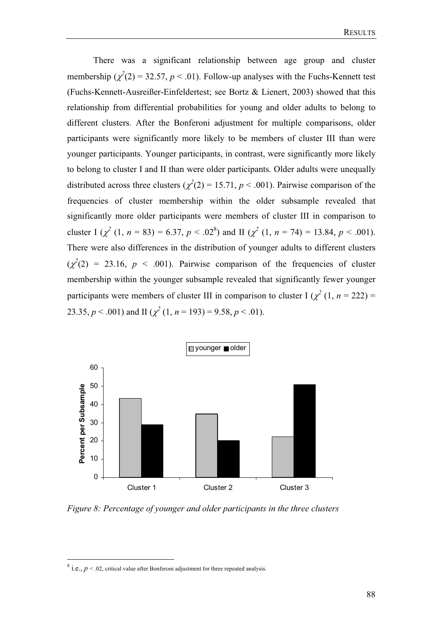There was a significant relationship between age group and cluster membership ( $\chi^2(2) = 32.57$ ,  $p < .01$ ). Follow-up analyses with the Fuchs-Kennett test (Fuchs-Kennett-Ausreißer-Einfeldertest; see Bortz & Lienert, 2003) showed that this relationship from differential probabilities for young and older adults to belong to different clusters. After the Bonferoni adjustment for multiple comparisons, older participants were significantly more likely to be members of cluster III than were younger participants. Younger participants, in contrast, were significantly more likely to belong to cluster I and II than were older participants. Older adults were unequally distributed across three clusters  $(\chi^2(2) = 15.71, p < .001)$ . Pairwise comparison of the frequencies of cluster membership within the older subsample revealed that significantly more older participants were members of cluster III in comparison to cluster I  $(\chi^2 (1, n = 83) = 6.37, p < .02^8)$  and II  $(\chi^2 (1, n = 74) = 13.84, p < .001)$ . There were also differences in the distribution of younger adults to different clusters  $(\chi^2(2) = 23.16, p < .001)$ . Pairwise comparison of the frequencies of cluster membership within the younger subsample revealed that significantly fewer younger participants were members of cluster III in comparison to cluster I  $(\chi^2(1, n = 222))$ 23.35,  $p < .001$ ) and II ( $\chi^2$  (1,  $n = 193$ ) = 9.58,  $p < .01$ ).



*Figure 8: Percentage of younger and older participants in the three clusters* 

 $^8$  i.e.,  $p < 0.02$ , critical value after Bonferoni adjustment for three repeated analysis.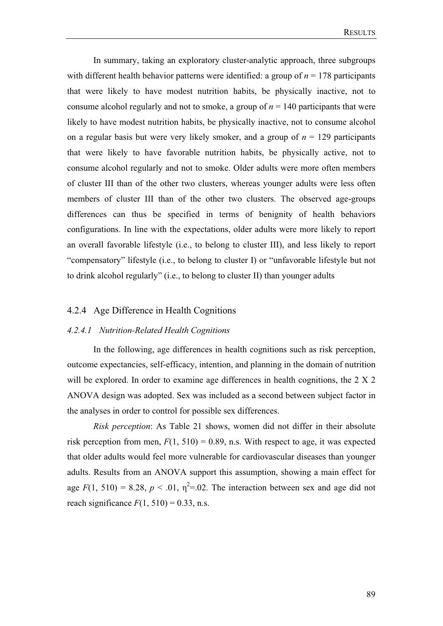In summary, taking an exploratory cluster-analytic approach, three subgroups with different health behavior patterns were identified: a group of  $n = 178$  participants that were likely to have modest nutrition habits, be physically inactive, not to consume alcohol regularly and not to smoke, a group of *n* = 140 participants that were likely to have modest nutrition habits, be physically inactive, not to consume alcohol on a regular basis but were very likely smoker, and a group of  $n = 129$  participants that were likely to have favorable nutrition habits, be physically active, not to consume alcohol regularly and not to smoke. Older adults were more often members of cluster III than of the other two clusters, whereas younger adults were less often members of cluster III than of the other two clusters. The observed age-groups differences can thus be specified in terms of benignity of health behaviors configurations. In line with the expectations, older adults were more likely to report an overall favorable lifestyle (i.e., to belong to cluster III), and less likely to report "compensatory" lifestyle (i.e., to belong to cluster I) or "unfavorable lifestyle but not to drink alcohol regularly" (i.e., to belong to cluster II) than younger adults

#### 4.2.4 Age Difference in Health Cognitions

#### *4.2.4.1 Nutrition-Related Health Cognitions*

In the following, age differences in health cognitions such as risk perception, outcome expectancies, self-efficacy, intention, and planning in the domain of nutrition will be explored. In order to examine age differences in health cognitions, the 2 X 2 ANOVA design was adopted. Sex was included as a second between subject factor in the analyses in order to control for possible sex differences.

*Risk perception*: As Table 21 shows, women did not differ in their absolute risk perception from men,  $F(1, 510) = 0.89$ , n.s. With respect to age, it was expected that older adults would feel more vulnerable for cardiovascular diseases than younger adults. Results from an ANOVA support this assumption, showing a main effect for age  $F(1, 510) = 8.28$ ,  $p < .01$ ,  $\eta^2 = .02$ . The interaction between sex and age did not reach significance  $F(1, 510) = 0.33$ , n.s.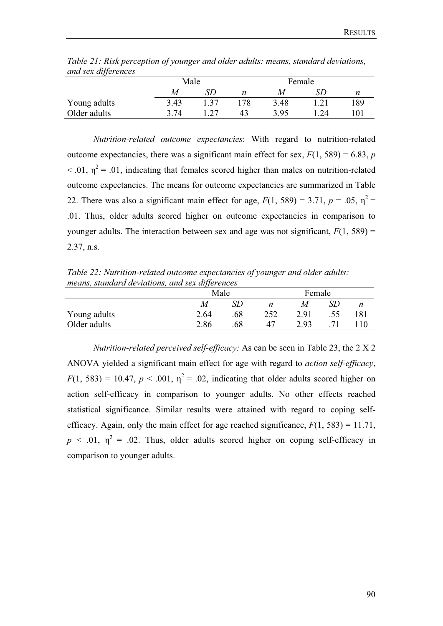| $\ldots$ $\ldots$ $\ldots$ |       |    |        |    |     |  |
|----------------------------|-------|----|--------|----|-----|--|
|                            | Male  |    | Female |    |     |  |
|                            | M     |    | M      |    |     |  |
| Young adults               | 3.43  | 78 | 3.48   |    | 189 |  |
| Older adults               | 3 7 A |    | 395    | 24 | 101 |  |

*Table 21: Risk perception of younger and older adults: means, standard deviations, and sex differences* 

*Nutrition-related outcome expectancies*: With regard to nutrition-related outcome expectancies, there was a significant main effect for sex,  $F(1, 589) = 6.83$ , *p*  $< .01$ ,  $\eta^2 = .01$ , indicating that females scored higher than males on nutrition-related outcome expectancies. The means for outcome expectancies are summarized in Table 22. There was also a significant main effect for age,  $F(1, 589) = 3.71$ ,  $p = .05$ ,  $p^2 =$ .01. Thus, older adults scored higher on outcome expectancies in comparison to younger adults. The interaction between sex and age was not significant,  $F(1, 589) =$ 2.37, n.s.

*Table 22: Nutrition-related outcome expectancies of younger and older adults: means, standard deviations, and sex differences* 

|              | Male |     |     | Female |  |     |
|--------------|------|-----|-----|--------|--|-----|
|              | M    |     | n   | M      |  |     |
| Young adults | 2.64 | .68 | 252 | 2.91   |  | 181 |
| Older adults | 2.86 | .68 | 47  | 2.93   |  |     |

*Nutrition-related perceived self-efficacy:* As can be seen in Table 23, the 2 X 2 ANOVA yielded a significant main effect for age with regard to *action self-efficacy*,  $F(1, 583) = 10.47$ ,  $p < .001$ ,  $p^2 = .02$ , indicating that older adults scored higher on action self-efficacy in comparison to younger adults. No other effects reached statistical significance. Similar results were attained with regard to coping selfefficacy. Again, only the main effect for age reached significance,  $F(1, 583) = 11.71$ ,  $p \leq 0.01$ ,  $\eta^2 = 0.02$ . Thus, older adults scored higher on coping self-efficacy in comparison to younger adults.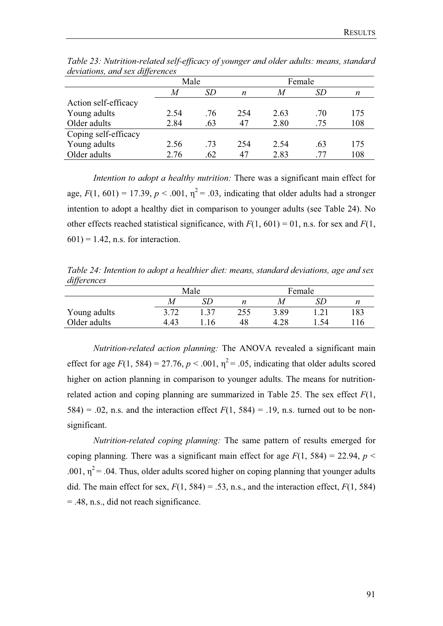| $\cdot$              | Male |     |                  | Female |     |     |
|----------------------|------|-----|------------------|--------|-----|-----|
|                      | M    | SD  | $\boldsymbol{n}$ | M      | SD  | n   |
| Action self-efficacy |      |     |                  |        |     |     |
| Young adults         | 2.54 | .76 | 254              | 2.63   | .70 | 175 |
| Older adults         | 2.84 | .63 | 47               | 2.80   | .75 | 108 |
| Coping self-efficacy |      |     |                  |        |     |     |
| Young adults         | 2.56 | .73 | 254              | 2.54   | .63 | 175 |
| Older adults         | 2.76 | .62 | 47               | 2.83   | 77  | 108 |

*Table 23: Nutrition-related self-efficacy of younger and older adults: means, standard deviations, and sex differences* 

*Intention to adopt a healthy nutrition:* There was a significant main effect for age,  $F(1, 601) = 17.39$ ,  $p < .001$ ,  $\eta^2 = .03$ , indicating that older adults had a stronger intention to adopt a healthy diet in comparison to younger adults (see Table 24). No other effects reached statistical significance, with  $F(1, 601) = 01$ , n.s. for sex and  $F(1, 601) = 01$  $601$ ) = 1.42, n.s. for interaction.

*Table 24: Intention to adopt a healthier diet: means, standard deviations, age and sex differences*

|              | Male |     |     | Female |     |     |
|--------------|------|-----|-----|--------|-----|-----|
|              |      | SD  |     | M      |     |     |
| Young adults | 3.72 | -37 | 255 | 3.89   |     | 183 |
| Older adults | 4.43 | .16 | 48  | 4.28   | .54 | 116 |

*Nutrition-related action planning:* The ANOVA revealed a significant main effect for age  $F(1, 584) = 27.76$ ,  $p < .001$ ,  $p^2 = .05$ , indicating that older adults scored higher on action planning in comparison to younger adults. The means for nutritionrelated action and coping planning are summarized in Table 25. The sex effect *F*(1, 584) = .02, n.s. and the interaction effect  $F(1, 584) = .19$ , n.s. turned out to be nonsignificant.

*Nutrition-related coping planning:* The same pattern of results emerged for coping planning. There was a significant main effect for age  $F(1, 584) = 22.94$ ,  $p <$ .001,  $\eta^2$  = .04. Thus, older adults scored higher on coping planning that younger adults did. The main effect for sex,  $F(1, 584) = .53$ , n.s., and the interaction effect,  $F(1, 584)$ = .48, n.s., did not reach significance.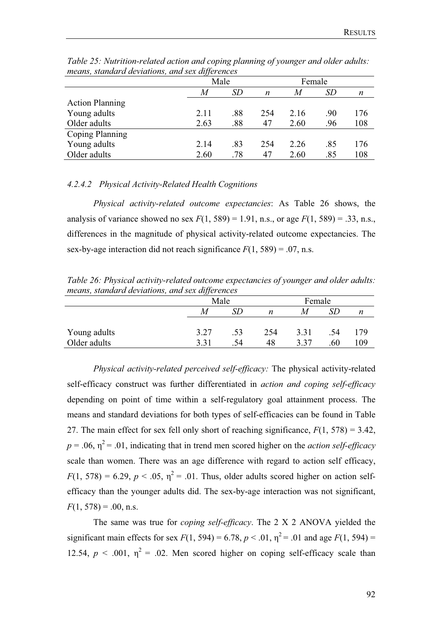| means, siamaara ac <i>ri</i> anons, ana sex aljerences |      |     |                  |        |     |     |
|--------------------------------------------------------|------|-----|------------------|--------|-----|-----|
|                                                        | Male |     |                  | Female |     |     |
|                                                        | M    | SD  | $\boldsymbol{n}$ | M      | SD  | n   |
| <b>Action Planning</b>                                 |      |     |                  |        |     |     |
| Young adults                                           | 2.11 | .88 | 254              | 2.16   | .90 | 176 |
| Older adults                                           | 2.63 | .88 | 47               | 2.60   | .96 | 108 |
| <b>Coping Planning</b>                                 |      |     |                  |        |     |     |
| Young adults                                           | 2.14 | .83 | 254              | 2.26   | .85 | 176 |
| Older adults                                           | 2.60 | .78 | 47               | 2.60   | .85 | 108 |

*Table 25: Nutrition-related action and coping planning of younger and older adults: means, standard deviations, and sex differences* 

## *4.2.4.2 Physical Activity-Related Health Cognitions*

*Physical activity-related outcome expectancies*: As Table 26 shows, the analysis of variance showed no sex  $F(1, 589) = 1.91$ , n.s., or age  $F(1, 589) = .33$ , n.s., differences in the magnitude of physical activity-related outcome expectancies. The sex-by-age interaction did not reach significance  $F(1, 589) = .07$ , n.s.

*Table 26: Physical activity-related outcome expectancies of younger and older adults: means, standard deviations, and sex differences* 

|              | Male |     |     | Female |     |     |
|--------------|------|-----|-----|--------|-----|-----|
|              | M    |     | n   | M      |     | n   |
|              |      |     |     |        |     |     |
| Young adults | 3.27 | .53 | 254 | 3.31   | .54 | 179 |
| Older adults | 3.31 | .54 | 48  | 3.37   | 60  | 109 |

*Physical activity-related perceived self-efficacy:* The physical activity-related self-efficacy construct was further differentiated in *action and coping self-efficacy* depending on point of time within a self-regulatory goal attainment process. The means and standard deviations for both types of self-efficacies can be found in Table 27. The main effect for sex fell only short of reaching significance, *F*(1, 578) = 3.42,  $p = .06$ ,  $\eta^2 = .01$ , indicating that in trend men scored higher on the *action self-efficacy* scale than women. There was an age difference with regard to action self efficacy,  $F(1, 578) = 6.29$ ,  $p < .05$ ,  $\eta^2 = .01$ . Thus, older adults scored higher on action selfefficacy than the younger adults did. The sex-by-age interaction was not significant,  $F(1, 578) = .00$ , n.s.

The same was true for *coping self-efficacy*. The 2 X 2 ANOVA yielded the significant main effects for sex  $F(1, 594) = 6.78$ ,  $p < .01$ ,  $p^2 = .01$  and age  $F(1, 594) =$ 12.54,  $p < .001$ ,  $\eta^2 = .02$ . Men scored higher on coping self-efficacy scale than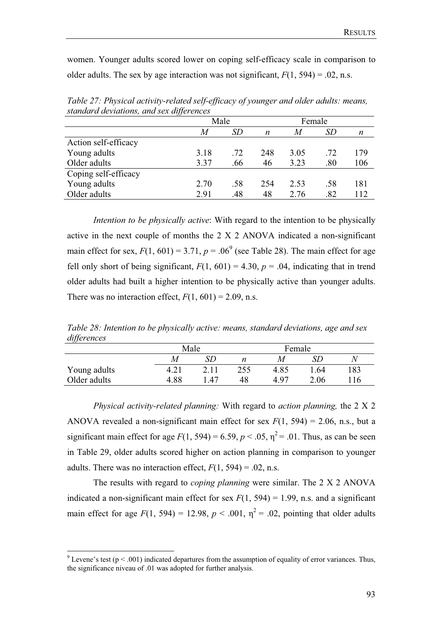women. Younger adults scored lower on coping self-efficacy scale in comparison to older adults. The sex by age interaction was not significant,  $F(1, 594) = .02$ , n.s.

|                      | Male |     |     | Female |     |     |
|----------------------|------|-----|-----|--------|-----|-----|
|                      |      |     |     |        |     |     |
|                      | M    | SD  | n   | M      | SD  | n   |
| Action self-efficacy |      |     |     |        |     |     |
| Young adults         | 3.18 | .72 | 248 | 3.05   | .72 | 179 |
| Older adults         | 3.37 | .66 | 46  | 3.23   | .80 | 106 |
| Coping self-efficacy |      |     |     |        |     |     |
| Young adults         | 2.70 | .58 | 254 | 2.53   | .58 | 181 |
| Older adults         | 2.91 | .48 | 48  | 2.76   | .82 | 112 |
|                      |      |     |     |        |     |     |

*Table 27: Physical activity-related self-efficacy of younger and older adults: means, standard deviations, and sex differences* 

*Intention to be physically active*: With regard to the intention to be physically active in the next couple of months the 2 X 2 ANOVA indicated a non-significant main effect for sex,  $F(1, 601) = 3.71$ ,  $p = .06<sup>9</sup>$  (see Table 28). The main effect for age fell only short of being significant,  $F(1, 601) = 4.30$ ,  $p = .04$ , indicating that in trend older adults had built a higher intention to be physically active than younger adults. There was no interaction effect,  $F(1, 601) = 2.09$ , n.s.

*Table 28: Intention to be physically active: means, standard deviations, age and sex differences*

|              | Male |      |     | Female |      |     |
|--------------|------|------|-----|--------|------|-----|
|              | M    |      |     | M      |      | N   |
| Young adults |      |      | 255 | 4.85   | .64  | 183 |
| Older adults | 4.88 | . 47 |     | 497    | 2.06 | !16 |

*Physical activity-related planning:* With regard to *action planning,* the 2 X 2 ANOVA revealed a non-significant main effect for sex  $F(1, 594) = 2.06$ , n.s., but a significant main effect for age  $F(1, 594) = 6.59$ ,  $p < .05$ ,  $\eta^2 = .01$ . Thus, as can be seen in Table 29, older adults scored higher on action planning in comparison to younger adults. There was no interaction effect,  $F(1, 594) = .02$ , n.s.

The results with regard to *coping planning* were similar. The 2 X 2 ANOVA indicated a non-significant main effect for sex  $F(1, 594) = 1.99$ , n.s. and a significant main effect for age  $F(1, 594) = 12.98$ ,  $p < .001$ ,  $\eta^2 = .02$ , pointing that older adults

<sup>&</sup>lt;sup>9</sup> Levene's test ( $p < .001$ ) indicated departures from the assumption of equality of error variances. Thus, the significance niveau of .01 was adopted for further analysis.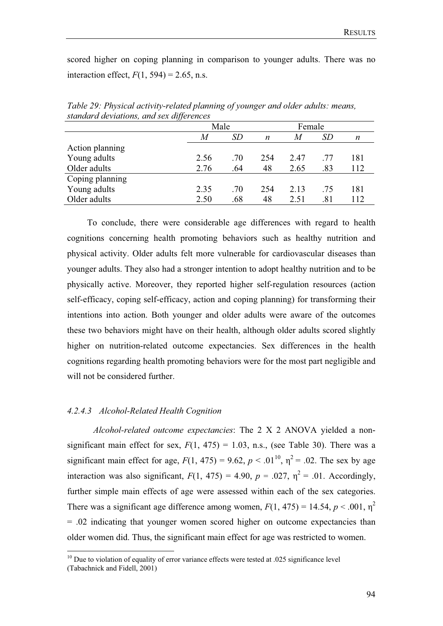scored higher on coping planning in comparison to younger adults. There was no interaction effect,  $F(1, 594) = 2.65$ , n.s.

| Male |     |     | Female |     |     |  |
|------|-----|-----|--------|-----|-----|--|
| M    | SD  | n   | M      | SD  | n   |  |
|      |     |     |        |     |     |  |
| 2.56 | .70 | 254 | 2.47   | .77 | 181 |  |
| 2.76 | .64 | 48  | 2.65   | .83 | 112 |  |
|      |     |     |        |     |     |  |
| 2.35 | .70 | 254 | 2.13   | .75 | 181 |  |
| 2.50 | .68 | 48  | 2.51   | .81 | 112 |  |
|      |     |     |        |     |     |  |

*Table 29: Physical activity-related planning of younger and older adults: means, standard deviations, and sex differences* 

 To conclude, there were considerable age differences with regard to health cognitions concerning health promoting behaviors such as healthy nutrition and physical activity. Older adults felt more vulnerable for cardiovascular diseases than younger adults. They also had a stronger intention to adopt healthy nutrition and to be physically active. Moreover, they reported higher self-regulation resources (action self-efficacy, coping self-efficacy, action and coping planning) for transforming their intentions into action. Both younger and older adults were aware of the outcomes these two behaviors might have on their health, although older adults scored slightly higher on nutrition-related outcome expectancies. Sex differences in the health cognitions regarding health promoting behaviors were for the most part negligible and will not be considered further.

#### *4.2.4.3 Alcohol-Related Health Cognition*

*Alcohol-related outcome expectancies*: The 2 X 2 ANOVA yielded a nonsignificant main effect for sex,  $F(1, 475) = 1.03$ , n.s., (see Table 30). There was a significant main effect for age,  $F(1, 475) = 9.62$ ,  $p < .01^{10}$ ,  $p^2 = .02$ . The sex by age interaction was also significant,  $F(1, 475) = 4.90$ ,  $p = .027$ ,  $n^2 = .01$ . Accordingly, further simple main effects of age were assessed within each of the sex categories. There was a significant age difference among women,  $F(1, 475) = 14.54$ ,  $p < .001$ ,  $p<sup>2</sup>$ = .02 indicating that younger women scored higher on outcome expectancies than older women did. Thus, the significant main effect for age was restricted to women.

 $10$  Due to violation of equality of error variance effects were tested at .025 significance level (Tabachnick and Fidell, 2001)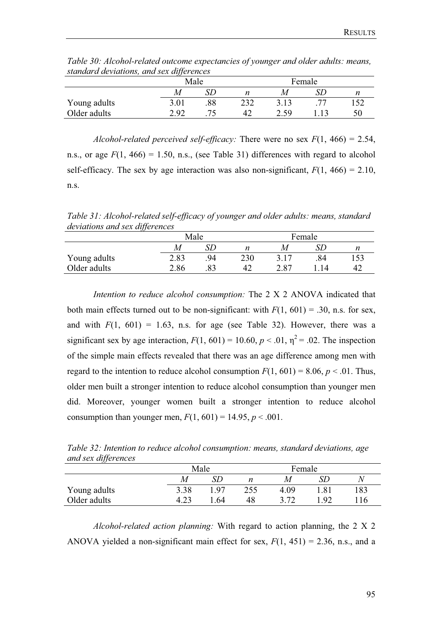| sianuara deviduons, una sex differences |      |        |      |  |     |
|-----------------------------------------|------|--------|------|--|-----|
|                                         | Male | Female |      |  |     |
|                                         | M    |        |      |  |     |
| Young adults                            | 3.01 | 232    | 3.13 |  | 152 |
| Older adults                            | 2.92 | 42     | 2.59 |  |     |

*Table 30: Alcohol-related outcome expectancies of younger and older adults: means, standard deviations, and sex differences* 

*Alcohol-related perceived self-efficacy:* There were no sex  $F(1, 466) = 2.54$ , n.s., or age  $F(1, 466) = 1.50$ , n.s., (see Table 31) differences with regard to alcohol self-efficacy. The sex by age interaction was also non-significant,  $F(1, 466) = 2.10$ , n.s.

*Table 31: Alcohol-related self-efficacy of younger and older adults: means, standard deviations and sex differences* 

|              | Male |     |     | Female |     |  |
|--------------|------|-----|-----|--------|-----|--|
|              | M    |     | n   |        |     |  |
| Young adults | 2.83 | 94  | 230 | 3.17   | .84 |  |
| Older adults | 2.86 | .83 | 42  | 2.87   | 14  |  |

*Intention to reduce alcohol consumption:* The 2 X 2 ANOVA indicated that both main effects turned out to be non-significant: with  $F(1, 601) = .30$ , n.s. for sex, and with  $F(1, 601) = 1.63$ , n.s. for age (see Table 32). However, there was a significant sex by age interaction,  $F(1, 601) = 10.60$ ,  $p < .01$ ,  $n^2 = .02$ . The inspection of the simple main effects revealed that there was an age difference among men with regard to the intention to reduce alcohol consumption  $F(1, 601) = 8.06$ ,  $p < .01$ . Thus, older men built a stronger intention to reduce alcohol consumption than younger men did. Moreover, younger women built a stronger intention to reduce alcohol consumption than younger men,  $F(1, 601) = 14.95$ ,  $p < .001$ .

*Table 32: Intention to reduce alcohol consumption: means, standard deviations, age and sex differences* 

|              |      | Male | Female |      |      |     |
|--------------|------|------|--------|------|------|-----|
|              | M    |      | n      |      |      | N   |
| Young adults | 3.38 | l 97 | 255    | 4.09 | l.81 | 183 |
| Older adults | 4.23 | .64  | 48     | 3.72 | .92  |     |

*Alcohol-related action planning:* With regard to action planning, the 2 X 2 ANOVA yielded a non-significant main effect for sex,  $F(1, 451) = 2.36$ , n.s., and a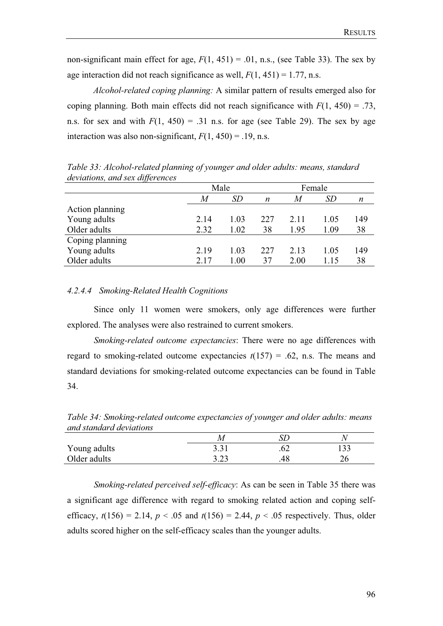non-significant main effect for age,  $F(1, 451) = .01$ , n.s., (see Table 33). The sex by age interaction did not reach significance as well,  $F(1, 451) = 1.77$ , n.s.

*Alcohol-related coping planning:* A similar pattern of results emerged also for coping planning. Both main effects did not reach significance with  $F(1, 450) = .73$ , n.s. for sex and with  $F(1, 450) = .31$  n.s. for age (see Table 29). The sex by age interaction was also non-significant,  $F(1, 450) = .19$ , n.s.

| $\alpha$ . The control is the second $\alpha$ in the control of $\alpha$ |      |      |     |        |      |     |
|--------------------------------------------------------------------------|------|------|-----|--------|------|-----|
|                                                                          |      | Male |     | Female |      |     |
|                                                                          | M    | SD   | n   | M      | SD   | n   |
| Action planning                                                          |      |      |     |        |      |     |
| Young adults                                                             | 2.14 | 1.03 | 227 | 2.11   | 1.05 | 149 |
| Older adults                                                             | 2.32 | 1.02 | 38  | 1.95   | 1.09 | 38  |
| Coping planning                                                          |      |      |     |        |      |     |
| Young adults                                                             | 2.19 | 1.03 | 227 | 2.13   | 1.05 | 149 |
| Older adults                                                             | 2.17 | 1.00 | 37  | 2.00   | 1.15 | 38  |

*Table 33: Alcohol-related planning of younger and older adults: means, standard deviations, and sex differences* 

## *4.2.4.4 Smoking-Related Health Cognitions*

 Since only 11 women were smokers, only age differences were further explored. The analyses were also restrained to current smokers.

*Smoking-related outcome expectancies*: There were no age differences with regard to smoking-related outcome expectancies  $t(157) = .62$ , n.s. The means and standard deviations for smoking-related outcome expectancies can be found in Table 34.

*Table 34: Smoking-related outcome expectancies of younger and older adults: means and standard deviations* 

| Young adults | $\gamma$ $\gamma$<br>ر ر | .v∠ | $\Omega$<br>1 J J |
|--------------|--------------------------|-----|-------------------|
| Older adults | റ റി<br>ر∠.د             |     | ∠∪                |

*Smoking-related perceived self-efficacy*: As can be seen in Table 35 there was a significant age difference with regard to smoking related action and coping selfefficacy,  $t(156) = 2.14$ ,  $p < .05$  and  $t(156) = 2.44$ ,  $p < .05$  respectively. Thus, older adults scored higher on the self-efficacy scales than the younger adults.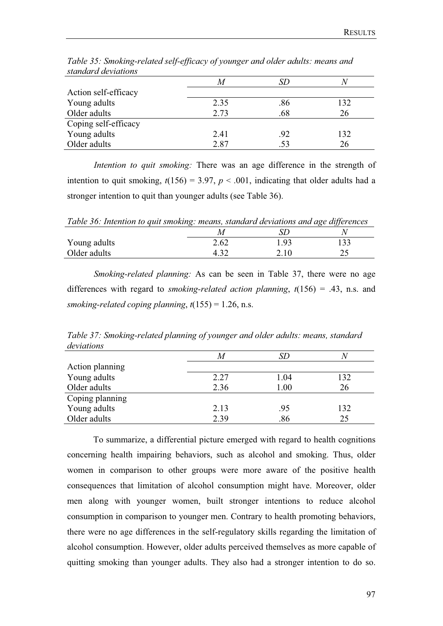| suanaan a acrianons  |      |     |     |
|----------------------|------|-----|-----|
|                      |      |     |     |
| Action self-efficacy |      |     |     |
| Young adults         | 2.35 | .86 | 132 |
| Older adults         | 2.73 | .68 | 26  |
| Coping self-efficacy |      |     |     |
| Young adults         | 2.41 | .92 | 132 |
| Older adults         | 2.87 |     | 26  |

*Table 35: Smoking-related self-efficacy of younger and older adults: means and standard deviations* 

*Intention to quit smoking:* There was an age difference in the strength of intention to quit smoking,  $t(156) = 3.97$ ,  $p < .001$ , indicating that older adults had a stronger intention to quit than younger adults (see Table 36).

*Table 36: Intention to quit smoking: means, standard deviations and age differences* 

| Young adults | 2.62 | 1.93 | 22<br>1 J J |
|--------------|------|------|-------------|
| Older adults |      | 4.IV | ر ب         |

*Smoking-related planning:* As can be seen in Table 37, there were no age differences with regard to *smoking-related action planning*, *t*(156) = .43, n.s. and *smoking-related coping planning*, *t*(155) = 1.26, n.s.

*Table 37: Smoking-related planning of younger and older adults: means, standard deviations*

| Action planning |      |      |     |
|-----------------|------|------|-----|
| Young adults    | 2.27 | 1.04 | 132 |
| Older adults    | 2.36 | 1.00 | 26  |
| Coping planning |      |      |     |
| Young adults    | 2.13 | .95  | 132 |
| Older adults    | 2.39 | 86.  | 25  |

To summarize, a differential picture emerged with regard to health cognitions concerning health impairing behaviors, such as alcohol and smoking. Thus, older women in comparison to other groups were more aware of the positive health consequences that limitation of alcohol consumption might have. Moreover, older men along with younger women, built stronger intentions to reduce alcohol consumption in comparison to younger men. Contrary to health promoting behaviors, there were no age differences in the self-regulatory skills regarding the limitation of alcohol consumption. However, older adults perceived themselves as more capable of quitting smoking than younger adults. They also had a stronger intention to do so.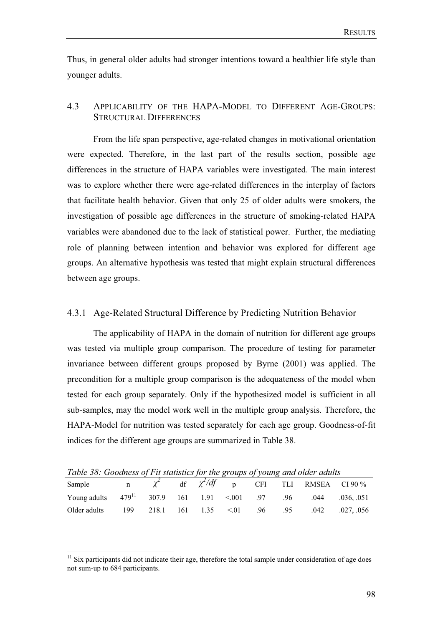Thus, in general older adults had stronger intentions toward a healthier life style than younger adults.

## 4.3 APPLICABILITY OF THE HAPA-MODEL TO DIFFERENT AGE-GROUPS: STRUCTURAL DIFFERENCES

From the life span perspective, age-related changes in motivational orientation were expected. Therefore, in the last part of the results section, possible age differences in the structure of HAPA variables were investigated. The main interest was to explore whether there were age-related differences in the interplay of factors that facilitate health behavior. Given that only 25 of older adults were smokers, the investigation of possible age differences in the structure of smoking-related HAPA variables were abandoned due to the lack of statistical power. Further, the mediating role of planning between intention and behavior was explored for different age groups. An alternative hypothesis was tested that might explain structural differences between age groups.

## 4.3.1 Age-Related Structural Difference by Predicting Nutrition Behavior

The applicability of HAPA in the domain of nutrition for different age groups was tested via multiple group comparison. The procedure of testing for parameter invariance between different groups proposed by Byrne (2001) was applied. The precondition for a multiple group comparison is the adequateness of the model when tested for each group separately. Only if the hypothesized model is sufficient in all sub-samples, may the model work well in the multiple group analysis. Therefore, the HAPA-Model for nutrition was tested separately for each age group. Goodness-of-fit indices for the different age groups are summarized in Table 38.

*Table 38: Goodness of Fit statistics for the groups of young and older adults* 

| Twore bord about the station of the groups of young and older additional |             |                |  |  |      |     |     |                                      |         |
|--------------------------------------------------------------------------|-------------|----------------|--|--|------|-----|-----|--------------------------------------|---------|
| Sample                                                                   | $\mathbf n$ |                |  |  |      |     |     | df $\chi^2/df$ p CFI TLI RMSEA CI90% |         |
| Young adults $479^{11}$ 307.9 161 1.91 < 001 .97                         |             |                |  |  |      |     | .96 | .044                                 | .036051 |
| Older adults                                                             | 199         | 218.1 161 1.35 |  |  | < 01 | .96 | .95 | .042                                 | .027056 |

<sup>&</sup>lt;sup>11</sup> Six participants did not indicate their age, therefore the total sample under consideration of age does not sum-up to 684 participants.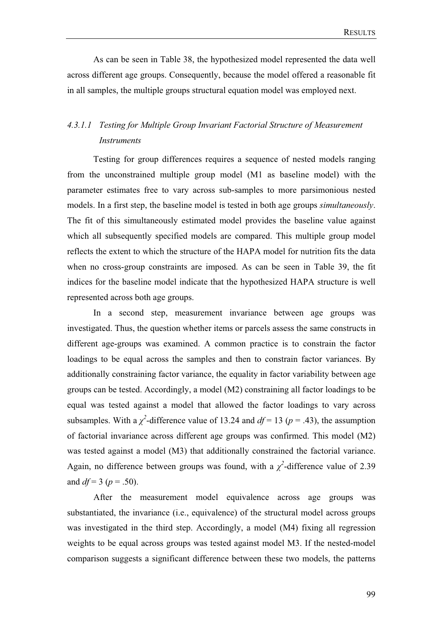As can be seen in Table 38, the hypothesized model represented the data well across different age groups. Consequently, because the model offered a reasonable fit in all samples, the multiple groups structural equation model was employed next.

# *4.3.1.1 Testing for Multiple Group Invariant Factorial Structure of Measurement Instruments*

Testing for group differences requires a sequence of nested models ranging from the unconstrained multiple group model (M1 as baseline model) with the parameter estimates free to vary across sub-samples to more parsimonious nested models. In a first step, the baseline model is tested in both age groups *simultaneously*. The fit of this simultaneously estimated model provides the baseline value against which all subsequently specified models are compared. This multiple group model reflects the extent to which the structure of the HAPA model for nutrition fits the data when no cross-group constraints are imposed. As can be seen in Table 39, the fit indices for the baseline model indicate that the hypothesized HAPA structure is well represented across both age groups.

In a second step, measurement invariance between age groups was investigated. Thus, the question whether items or parcels assess the same constructs in different age-groups was examined. A common practice is to constrain the factor loadings to be equal across the samples and then to constrain factor variances. By additionally constraining factor variance, the equality in factor variability between age groups can be tested. Accordingly, a model (M2) constraining all factor loadings to be equal was tested against a model that allowed the factor loadings to vary across subsamples. With a  $\chi^2$ -difference value of 13.24 and  $df = 13$  ( $p = .43$ ), the assumption of factorial invariance across different age groups was confirmed. This model (M2) was tested against a model (M3) that additionally constrained the factorial variance. Again, no difference between groups was found, with a  $\chi^2$ -difference value of 2.39 and  $df = 3 (p = .50)$ .

After the measurement model equivalence across age groups was substantiated, the invariance (i.e., equivalence) of the structural model across groups was investigated in the third step. Accordingly, a model (M4) fixing all regression weights to be equal across groups was tested against model M3. If the nested-model comparison suggests a significant difference between these two models, the patterns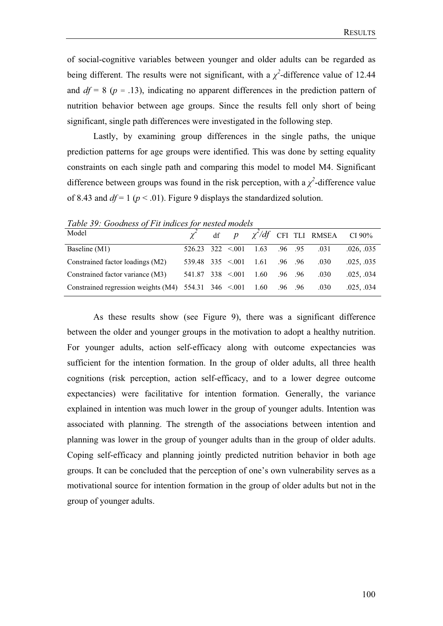of social-cognitive variables between younger and older adults can be regarded as being different. The results were not significant, with a  $\chi^2$ -difference value of 12.44 and  $df = 8$  ( $p = .13$ ), indicating no apparent differences in the prediction pattern of nutrition behavior between age groups. Since the results fell only short of being significant, single path differences were investigated in the following step.

Lastly, by examining group differences in the single paths, the unique prediction patterns for age groups were identified. This was done by setting equality constraints on each single path and comparing this model to model M4. Significant difference between groups was found in the risk perception, with a  $\chi^2$ -difference value of 8.43 and  $df = 1$  ( $p < .01$ ). Figure 9 displays the standardized solution.

*Table 39: Goodness of Fit indices for nested models* 

| Model                                                                     |                                 |  |                                                     |  |      | $\chi^2$ df $p \chi^2/df$ CFI TLI RMSEA CI90% |
|---------------------------------------------------------------------------|---------------------------------|--|-----------------------------------------------------|--|------|-----------------------------------------------|
| Baseline (M1)                                                             |                                 |  | $526.23$ $322$ $\leq 001$ $1.63$ $.96$ $.95$ $.031$ |  |      | .026, .035                                    |
| Constrained factor loadings (M2)                                          |                                 |  | $539.48$ $335 \le 0.01$ $1.61$ $.96$ $.96$          |  | .030 | .025, .035                                    |
| Constrained factor variance (M3)                                          | $541.87$ 338 < 001 1.60 .96 .96 |  |                                                     |  | .030 | .025, .034                                    |
| Constrained regression weights (M4) $554.31$ $346$ < 001 $1.60$ 0.96 0.96 |                                 |  |                                                     |  | .030 | .025, .034                                    |

As these results show (see Figure 9), there was a significant difference between the older and younger groups in the motivation to adopt a healthy nutrition. For younger adults, action self-efficacy along with outcome expectancies was sufficient for the intention formation. In the group of older adults, all three health cognitions (risk perception, action self-efficacy, and to a lower degree outcome expectancies) were facilitative for intention formation. Generally, the variance explained in intention was much lower in the group of younger adults. Intention was associated with planning. The strength of the associations between intention and planning was lower in the group of younger adults than in the group of older adults. Coping self-efficacy and planning jointly predicted nutrition behavior in both age groups. It can be concluded that the perception of one's own vulnerability serves as a motivational source for intention formation in the group of older adults but not in the group of younger adults.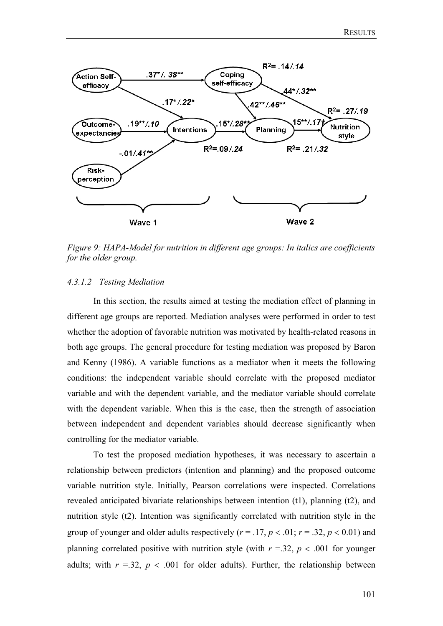

*Figure 9: HAPA-Model for nutrition in different age groups: In italics are coefficients for the older group.* 

## *4.3.1.2 Testing Mediation*

In this section, the results aimed at testing the mediation effect of planning in different age groups are reported. Mediation analyses were performed in order to test whether the adoption of favorable nutrition was motivated by health-related reasons in both age groups. The general procedure for testing mediation was proposed by Baron and Kenny (1986). A variable functions as a mediator when it meets the following conditions: the independent variable should correlate with the proposed mediator variable and with the dependent variable, and the mediator variable should correlate with the dependent variable. When this is the case, then the strength of association between independent and dependent variables should decrease significantly when controlling for the mediator variable.

To test the proposed mediation hypotheses, it was necessary to ascertain a relationship between predictors (intention and planning) and the proposed outcome variable nutrition style. Initially, Pearson correlations were inspected. Correlations revealed anticipated bivariate relationships between intention (t1), planning (t2), and nutrition style (t2). Intention was significantly correlated with nutrition style in the group of younger and older adults respectively  $(r = .17, p < .01; r = .32, p < 0.01)$  and planning correlated positive with nutrition style (with  $r = 0.32$ ,  $p < 0.001$  for younger adults; with  $r = 0.32$ ,  $p < 0.001$  for older adults). Further, the relationship between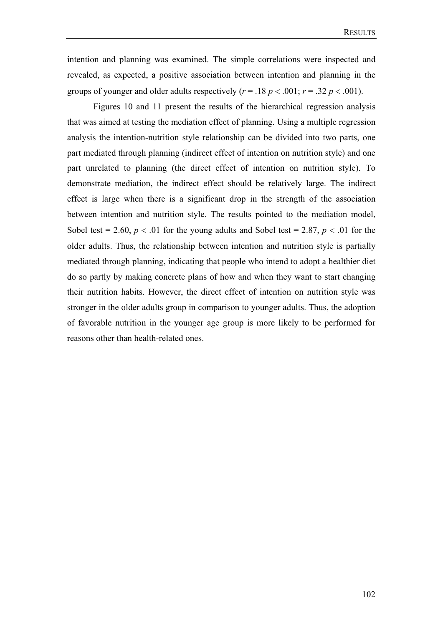intention and planning was examined. The simple correlations were inspected and revealed, as expected, a positive association between intention and planning in the groups of younger and older adults respectively  $(r = .18 \, p < .001; r = .32 \, p < .001)$ .

Figures 10 and 11 present the results of the hierarchical regression analysis that was aimed at testing the mediation effect of planning. Using a multiple regression analysis the intention-nutrition style relationship can be divided into two parts, one part mediated through planning (indirect effect of intention on nutrition style) and one part unrelated to planning (the direct effect of intention on nutrition style). To demonstrate mediation, the indirect effect should be relatively large. The indirect effect is large when there is a significant drop in the strength of the association between intention and nutrition style. The results pointed to the mediation model, Sobel test = 2.60,  $p < .01$  for the young adults and Sobel test = 2.87,  $p < .01$  for the older adults. Thus, the relationship between intention and nutrition style is partially mediated through planning, indicating that people who intend to adopt a healthier diet do so partly by making concrete plans of how and when they want to start changing their nutrition habits. However, the direct effect of intention on nutrition style was stronger in the older adults group in comparison to younger adults. Thus, the adoption of favorable nutrition in the younger age group is more likely to be performed for reasons other than health-related ones.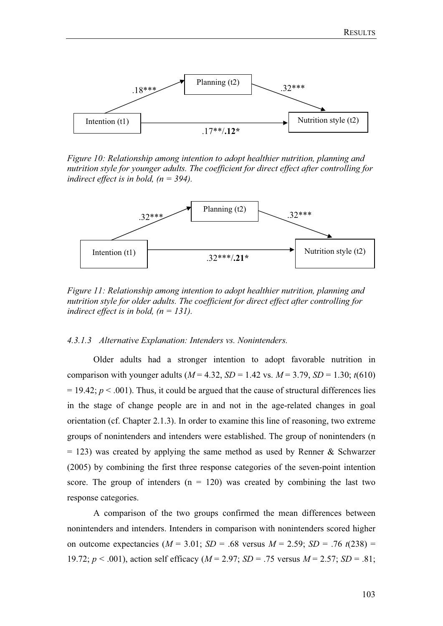

*Figure 10: Relationship among intention to adopt healthier nutrition, planning and nutrition style for younger adults. The coefficient for direct effect after controlling for indirect effect is in bold, (n = 394).* 



*Figure 11: Relationship among intention to adopt healthier nutrition, planning and nutrition style for older adults. The coefficient for direct effect after controlling for indirect effect is in bold, (n = 131).* 

#### *4.3.1.3 Alternative Explanation: Intenders vs. Nonintenders.*

Older adults had a stronger intention to adopt favorable nutrition in comparison with younger adults ( $M = 4.32$ ,  $SD = 1.42$  vs.  $M = 3.79$ ,  $SD = 1.30$ ;  $t(610)$ )  $= 19.42$ ;  $p < .001$ ). Thus, it could be argued that the cause of structural differences lies in the stage of change people are in and not in the age-related changes in goal orientation (cf. Chapter 2.1.3). In order to examine this line of reasoning, two extreme groups of nonintenders and intenders were established. The group of nonintenders (n  $= 123$ ) was created by applying the same method as used by Renner & Schwarzer (2005) by combining the first three response categories of the seven-point intention score. The group of intenders  $(n = 120)$  was created by combining the last two response categories.

A comparison of the two groups confirmed the mean differences between nonintenders and intenders. Intenders in comparison with nonintenders scored higher on outcome expectancies  $(M = 3.01; SD = .68$  versus  $M = 2.59; SD = .76$   $t(238) =$ 19.72; *p* < .001), action self efficacy (*M* = 2.97; *SD* = .75 versus *M* = 2.57; *SD* = .81;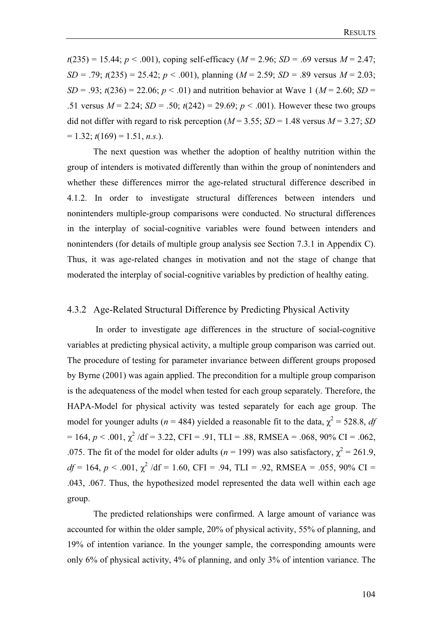$t(235) = 15.44$ ;  $p < .001$ ), coping self-efficacy ( $M = 2.96$ ;  $SD = .69$  versus  $M = 2.47$ ; *SD* = .79;  $t(235) = 25.42$ ;  $p < .001$ ), planning ( $M = 2.59$ ; *SD* = .89 versus  $M = 2.03$ ; *SD* = .93;  $t(236) = 22.06$ ;  $p < .01$ ) and nutrition behavior at Wave 1 ( $M = 2.60$ ; *SD* = .51 versus  $M = 2.24$ ;  $SD = .50$ ;  $t(242) = 29.69$ ;  $p < .001$ ). However these two groups did not differ with regard to risk perception ( $M = 3.55$ ;  $SD = 1.48$  versus  $M = 3.27$ ; *SD*  $= 1.32$ ;  $t(169) = 1.51$ , *n.s.*).

The next question was whether the adoption of healthy nutrition within the group of intenders is motivated differently than within the group of nonintenders and whether these differences mirror the age-related structural difference described in 4.1.2. In order to investigate structural differences between intenders und nonintenders multiple-group comparisons were conducted. No structural differences in the interplay of social-cognitive variables were found between intenders and nonintenders (for details of multiple group analysis see Section 7.3.1 in Appendix C). Thus, it was age-related changes in motivation and not the stage of change that moderated the interplay of social-cognitive variables by prediction of healthy eating.

## 4.3.2 Age-Related Structural Difference by Predicting Physical Activity

 In order to investigate age differences in the structure of social-cognitive variables at predicting physical activity, a multiple group comparison was carried out. The procedure of testing for parameter invariance between different groups proposed by Byrne (2001) was again applied. The precondition for a multiple group comparison is the adequateness of the model when tested for each group separately. Therefore, the HAPA-Model for physical activity was tested separately for each age group. The model for younger adults ( $n = 484$ ) yielded a reasonable fit to the data,  $\chi^2 = 528.8$ , *df*  $= 164, p < .001, \chi^2/\text{df} = 3.22, \text{CFI} = .91, \text{TLI} = .88, \text{RMSEA} = .068, 90\% \text{ CI} = .062,$ .075. The fit of the model for older adults ( $n = 199$ ) was also satisfactory,  $\chi^2 = 261.9$ ,  $df = 164$ ,  $p < .001$ ,  $\chi^2$  /df = 1.60, CFI = .94, TLI = .92, RMSEA = .055, 90% CI = .043, .067. Thus, the hypothesized model represented the data well within each age group.

The predicted relationships were confirmed. A large amount of variance was accounted for within the older sample, 20% of physical activity, 55% of planning, and 19% of intention variance. In the younger sample, the corresponding amounts were only 6% of physical activity, 4% of planning, and only 3% of intention variance. The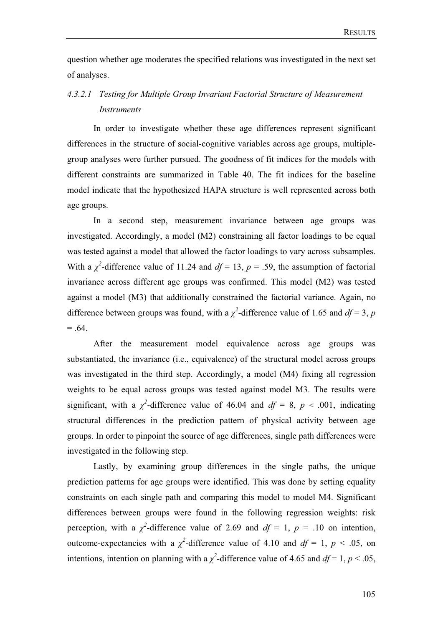question whether age moderates the specified relations was investigated in the next set of analyses.

# *4.3.2.1 Testing for Multiple Group Invariant Factorial Structure of Measurement Instruments*

In order to investigate whether these age differences represent significant differences in the structure of social-cognitive variables across age groups, multiplegroup analyses were further pursued. The goodness of fit indices for the models with different constraints are summarized in Table 40. The fit indices for the baseline model indicate that the hypothesized HAPA structure is well represented across both age groups.

In a second step, measurement invariance between age groups was investigated. Accordingly, a model (M2) constraining all factor loadings to be equal was tested against a model that allowed the factor loadings to vary across subsamples. With a  $\chi^2$ -difference value of 11.24 and  $df = 13$ ,  $p = .59$ , the assumption of factorial invariance across different age groups was confirmed. This model (M2) was tested against a model (M3) that additionally constrained the factorial variance. Again, no difference between groups was found, with a  $\chi^2$ -difference value of 1.65 and  $df = 3$ , *p*  $= .64.$ 

After the measurement model equivalence across age groups was substantiated, the invariance (i.e., equivalence) of the structural model across groups was investigated in the third step. Accordingly, a model (M4) fixing all regression weights to be equal across groups was tested against model M3. The results were significant, with a  $\chi^2$ -difference value of 46.04 and  $df = 8$ ,  $p < .001$ , indicating structural differences in the prediction pattern of physical activity between age groups. In order to pinpoint the source of age differences, single path differences were investigated in the following step.

Lastly, by examining group differences in the single paths, the unique prediction patterns for age groups were identified. This was done by setting equality constraints on each single path and comparing this model to model M4. Significant differences between groups were found in the following regression weights: risk perception, with a  $\chi^2$ -difference value of 2.69 and  $df = 1$ ,  $p = .10$  on intention, outcome-expectancies with a  $\chi^2$ -difference value of 4.10 and  $df = 1$ ,  $p < .05$ , on intentions, intention on planning with a  $\chi^2$ -difference value of 4.65 and  $df = 1, p < .05$ ,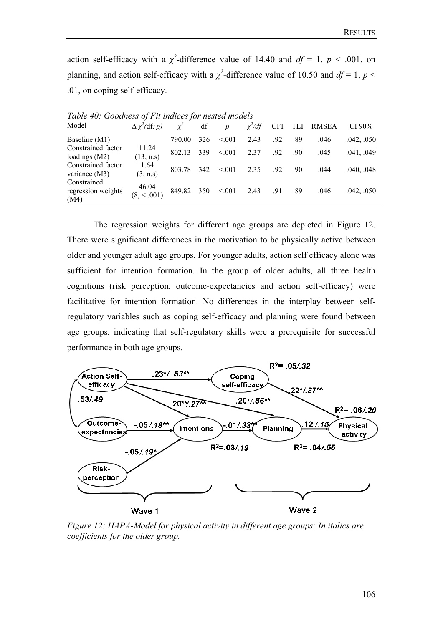action self-efficacy with a  $\chi^2$ -difference value of 14.40 and  $df = 1$ ,  $p < .001$ , on planning, and action self-efficacy with a  $\chi^2$ -difference value of 10.50 and  $df = 1$ ,  $p <$ .01, on coping self-efficacy.

| Model                                     | $\Delta \chi^2$ (df; p) |        | df  | $\boldsymbol{D}$ | $\chi^2/df$ | <b>CFI</b> | <b>TLI</b> | <b>RMSEA</b> | CI $90\%$  |
|-------------------------------------------|-------------------------|--------|-----|------------------|-------------|------------|------------|--------------|------------|
| Baseline (M1)                             |                         | 790.00 | 326 | < 0.01           | 2.43        | .92        | .89        | .046         | .042, .050 |
| Constrained factor<br>loadings $(M2)$     | 11.24<br>(13; n.s)      | 802.13 | 339 | < 0.01           | 2.37        | .92        | .90        | .045         | .041, .049 |
| Constrained factor<br>variance $(M3)$     | 1.64<br>(3; n.s)        | 803.78 | 342 | < 0.01           | 2.35        | .92        | .90        | .044         | .040, .048 |
| Constrained<br>regression weights<br>(M4) | 46.04<br>(8, < .001)    | 849.82 | 350 | < 0.01           | 2.43        | .91        | .89        | .046         | .042, .050 |

*Table 40: Goodness of Fit indices for nested models* 

The regression weights for different age groups are depicted in Figure 12. There were significant differences in the motivation to be physically active between older and younger adult age groups. For younger adults, action self efficacy alone was sufficient for intention formation. In the group of older adults, all three health cognitions (risk perception, outcome-expectancies and action self-efficacy) were facilitative for intention formation. No differences in the interplay between selfregulatory variables such as coping self-efficacy and planning were found between age groups, indicating that self-regulatory skills were a prerequisite for successful performance in both age groups.



*Figure 12: HAPA-Model for physical activity in different age groups: In italics are coefficients for the older group.*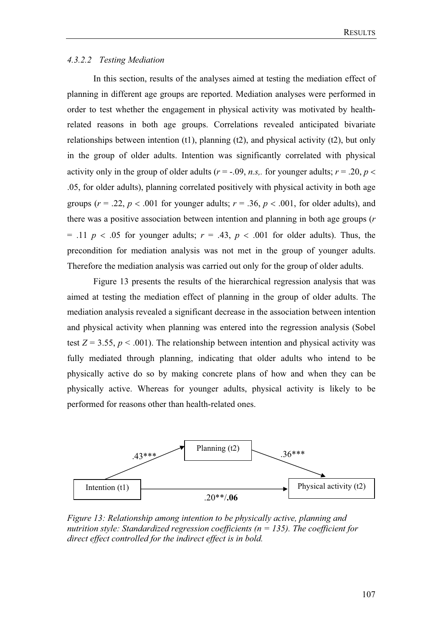#### *4.3.2.2 Testing Mediation*

In this section, results of the analyses aimed at testing the mediation effect of planning in different age groups are reported. Mediation analyses were performed in order to test whether the engagement in physical activity was motivated by healthrelated reasons in both age groups. Correlations revealed anticipated bivariate relationships between intention  $(t1)$ , planning  $(t2)$ , and physical activity  $(t2)$ , but only in the group of older adults. Intention was significantly correlated with physical activity only in the group of older adults ( $r = -.09$ , *n.s.* for younger adults;  $r = .20$ ,  $p <$ .05, for older adults), planning correlated positively with physical activity in both age groups ( $r = .22$ ,  $p < .001$  for younger adults;  $r = .36$ ,  $p < .001$ , for older adults), and there was a positive association between intention and planning in both age groups (*r*  $= .11$  *p*  $< .05$  for younger adults;  $r = .43$ ,  $p < .001$  for older adults). Thus, the precondition for mediation analysis was not met in the group of younger adults. Therefore the mediation analysis was carried out only for the group of older adults.

Figure 13 presents the results of the hierarchical regression analysis that was aimed at testing the mediation effect of planning in the group of older adults. The mediation analysis revealed a significant decrease in the association between intention and physical activity when planning was entered into the regression analysis (Sobel test  $Z = 3.55$ ,  $p < .001$ ). The relationship between intention and physical activity was fully mediated through planning, indicating that older adults who intend to be physically active do so by making concrete plans of how and when they can be physically active. Whereas for younger adults, physical activity is likely to be performed for reasons other than health-related ones.



*Figure 13: Relationship among intention to be physically active, planning and nutrition style: Standardized regression coefficients (n = 135). The coefficient for direct effect controlled for the indirect effect is in bold.*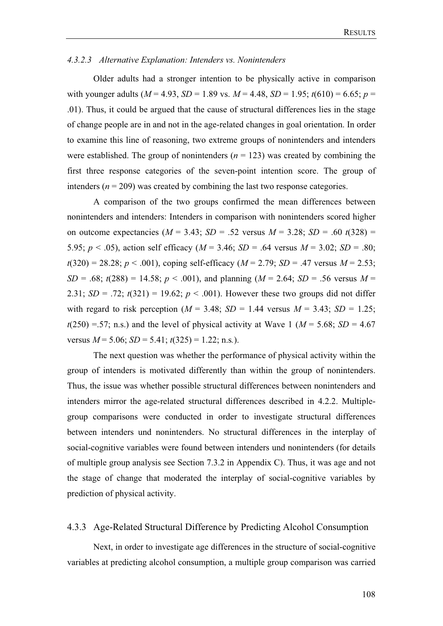#### *4.3.2.3 Alternative Explanation: Intenders vs. Nonintenders*

Older adults had a stronger intention to be physically active in comparison with younger adults ( $M = 4.93$ ,  $SD = 1.89$  vs.  $M = 4.48$ ,  $SD = 1.95$ ;  $t(610) = 6.65$ ;  $p =$ .01). Thus, it could be argued that the cause of structural differences lies in the stage of change people are in and not in the age-related changes in goal orientation. In order to examine this line of reasoning, two extreme groups of nonintenders and intenders were established. The group of nonintenders  $(n = 123)$  was created by combining the first three response categories of the seven-point intention score. The group of intenders ( $n = 209$ ) was created by combining the last two response categories.

A comparison of the two groups confirmed the mean differences between nonintenders and intenders: Intenders in comparison with nonintenders scored higher on outcome expectancies  $(M = 3.43; SD = .52$  versus  $M = 3.28; SD = .60$   $t(328) =$ 5.95;  $p < .05$ ), action self efficacy ( $M = 3.46$ ;  $SD = .64$  versus  $M = 3.02$ ;  $SD = .80$ ;  $t(320) = 28.28$ ;  $p < .001$ ), coping self-efficacy ( $M = 2.79$ ;  $SD = .47$  versus  $M = 2.53$ ; *SD* = .68;  $t(288) = 14.58$ ;  $p < .001$ ), and planning ( $M = 2.64$ ; *SD* = .56 versus  $M =$ 2.31; *SD* = .72;  $t(321) = 19.62$ ;  $p < .001$ ). However these two groups did not differ with regard to risk perception ( $M = 3.48$ ;  $SD = 1.44$  versus  $M = 3.43$ ;  $SD = 1.25$ ;  $t(250) = .57$ ; n.s.) and the level of physical activity at Wave 1 ( $M = 5.68$ ; *SD* = 4.67 versus  $M = 5.06$ ;  $SD = 5.41$ ;  $t(325) = 1.22$ ; n.s.).

The next question was whether the performance of physical activity within the group of intenders is motivated differently than within the group of nonintenders. Thus, the issue was whether possible structural differences between nonintenders and intenders mirror the age-related structural differences described in 4.2.2. Multiplegroup comparisons were conducted in order to investigate structural differences between intenders und nonintenders. No structural differences in the interplay of social-cognitive variables were found between intenders und nonintenders (for details of multiple group analysis see Section 7.3.2 in Appendix C). Thus, it was age and not the stage of change that moderated the interplay of social-cognitive variables by prediction of physical activity.

## 4.3.3 Age-Related Structural Difference by Predicting Alcohol Consumption

Next, in order to investigate age differences in the structure of social-cognitive variables at predicting alcohol consumption, a multiple group comparison was carried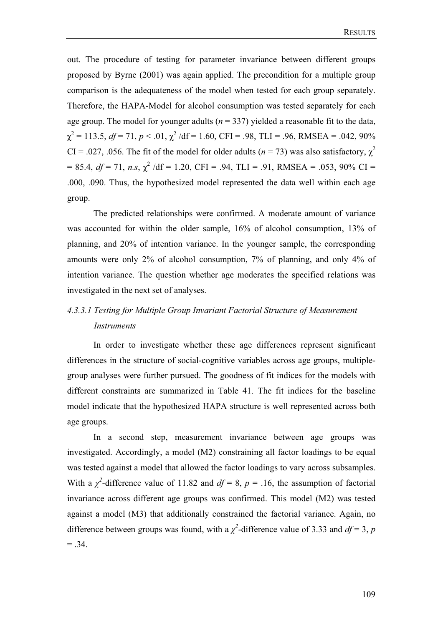out. The procedure of testing for parameter invariance between different groups proposed by Byrne (2001) was again applied. The precondition for a multiple group comparison is the adequateness of the model when tested for each group separately. Therefore, the HAPA-Model for alcohol consumption was tested separately for each age group. The model for younger adults  $(n = 337)$  yielded a reasonable fit to the data,  $\chi^2$  = 113.5, *df* = 71, *p* < .01,  $\chi^2$  /df = 1.60, CFI = .98, TLI = .96, RMSEA = .042, 90% CI = .027, .056. The fit of the model for older adults ( $n = 73$ ) was also satisfactory,  $\chi^2$  $= 85.4, df = 71, n.s. \chi^2 /df = 1.20, CFI = .94, TLI = .91, RMSEA = .053, 90\% CI =$ .000, .090. Thus, the hypothesized model represented the data well within each age group.

The predicted relationships were confirmed. A moderate amount of variance was accounted for within the older sample, 16% of alcohol consumption, 13% of planning, and 20% of intention variance. In the younger sample, the corresponding amounts were only 2% of alcohol consumption, 7% of planning, and only 4% of intention variance. The question whether age moderates the specified relations was investigated in the next set of analyses.

# *4.3.3.1 Testing for Multiple Group Invariant Factorial Structure of Measurement Instruments*

In order to investigate whether these age differences represent significant differences in the structure of social-cognitive variables across age groups, multiplegroup analyses were further pursued. The goodness of fit indices for the models with different constraints are summarized in Table 41. The fit indices for the baseline model indicate that the hypothesized HAPA structure is well represented across both age groups.

In a second step, measurement invariance between age groups was investigated. Accordingly, a model (M2) constraining all factor loadings to be equal was tested against a model that allowed the factor loadings to vary across subsamples. With a  $\chi^2$ -difference value of 11.82 and  $df = 8$ ,  $p = .16$ , the assumption of factorial invariance across different age groups was confirmed. This model (M2) was tested against a model (M3) that additionally constrained the factorial variance. Again, no difference between groups was found, with a  $\chi^2$ -difference value of 3.33 and  $df = 3$ , *p*  $=.34.$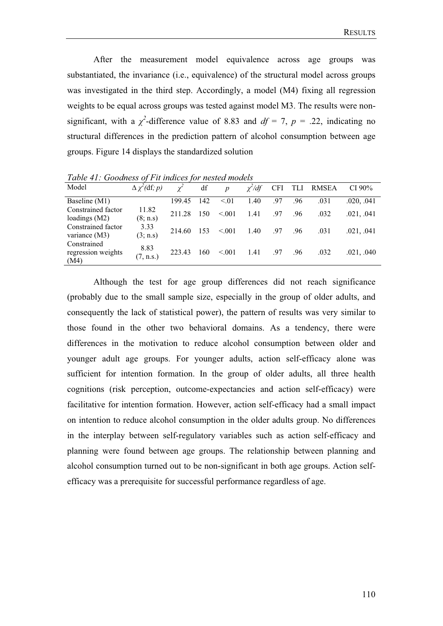After the measurement model equivalence across age groups was substantiated, the invariance (i.e., equivalence) of the structural model across groups was investigated in the third step. Accordingly, a model (M4) fixing all regression weights to be equal across groups was tested against model M3. The results were nonsignificant, with a  $\chi^2$ -difference value of 8.83 and  $df = 7$ ,  $p = .22$ , indicating no structural differences in the prediction pattern of alcohol consumption between age groups. Figure 14 displays the standardized solution

Model <sup>2</sup>(df*; p*)  $\chi$ *2* df  $p$  $\chi^2/df$ */df* CFI TLI RMSEA CI 90% Baseline (M1) 199.45 142 < 01 1.40 .97 .96 .031 .020, .041 Constrained factor loadings (M2) 11.82  $(8; \text{ n.s})$  211.28 150 <.001 1.41 .97 .96 .032 .021, .041 Constrained factor variance (M3) 3.33  $(3; n.s)$  214.60 153 <.001 1.40 .97 .96 .031 .021, .041 Constrained regression weights (M4) 8.83  $(7, n.s.)$  223.43 160 <.001 1.41 .97 .96 .032 .021, .040

*Table 41: Goodness of Fit indices for nested models* 

Although the test for age group differences did not reach significance (probably due to the small sample size, especially in the group of older adults, and consequently the lack of statistical power), the pattern of results was very similar to those found in the other two behavioral domains. As a tendency, there were differences in the motivation to reduce alcohol consumption between older and younger adult age groups. For younger adults, action self-efficacy alone was sufficient for intention formation. In the group of older adults, all three health cognitions (risk perception, outcome-expectancies and action self-efficacy) were facilitative for intention formation. However, action self-efficacy had a small impact on intention to reduce alcohol consumption in the older adults group. No differences in the interplay between self-regulatory variables such as action self-efficacy and planning were found between age groups. The relationship between planning and alcohol consumption turned out to be non-significant in both age groups. Action selfefficacy was a prerequisite for successful performance regardless of age.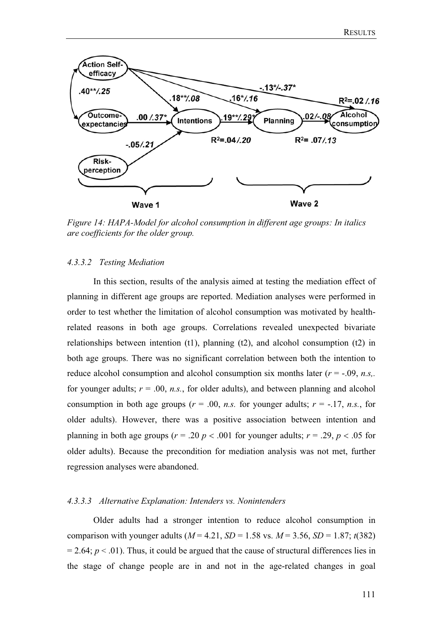

*Figure 14: HAPA-Model for alcohol consumption in different age groups: In italics are coefficients for the older group.*

#### *4.3.3.2 Testing Mediation*

In this section, results of the analysis aimed at testing the mediation effect of planning in different age groups are reported. Mediation analyses were performed in order to test whether the limitation of alcohol consumption was motivated by healthrelated reasons in both age groups. Correlations revealed unexpected bivariate relationships between intention (t1), planning (t2), and alcohol consumption (t2) in both age groups. There was no significant correlation between both the intention to reduce alcohol consumption and alcohol consumption six months later  $(r = -0.09, n.s.,$ for younger adults;  $r = 0.0$ , *n.s.*, for older adults), and between planning and alcohol consumption in both age groups ( $r = .00$ , *n.s.* for younger adults;  $r = -.17$ , *n.s.*, for older adults). However, there was a positive association between intention and planning in both age groups ( $r = .20$   $p < .001$  for younger adults;  $r = .29$ ,  $p < .05$  for older adults). Because the precondition for mediation analysis was not met, further regression analyses were abandoned.

#### *4.3.3.3 Alternative Explanation: Intenders vs. Nonintenders*

Older adults had a stronger intention to reduce alcohol consumption in comparison with younger adults ( $M = 4.21$ ,  $SD = 1.58$  vs.  $M = 3.56$ ,  $SD = 1.87$ ;  $t(382)$ )  $= 2.64$ ;  $p < .01$ ). Thus, it could be argued that the cause of structural differences lies in the stage of change people are in and not in the age-related changes in goal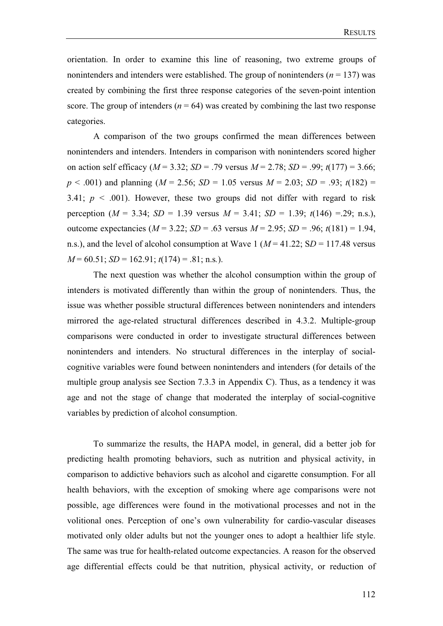orientation. In order to examine this line of reasoning, two extreme groups of nonintenders and intenders were established. The group of nonintenders ( $n = 137$ ) was created by combining the first three response categories of the seven-point intention score. The group of intenders  $(n = 64)$  was created by combining the last two response categories.

A comparison of the two groups confirmed the mean differences between nonintenders and intenders. Intenders in comparison with nonintenders scored higher on action self efficacy (*M* = 3.32; *SD* = .79 versus *M* = 2.78; *SD* = .99; *t*(177) = 3.66; *p* < .001) and planning (*M* = 2.56; *SD* = 1.05 versus *M* = 2.03; *SD* = .93; *t*(182) = 3.41;  $p \leq 0.001$ ). However, these two groups did not differ with regard to risk perception ( $M = 3.34$ ;  $SD = 1.39$  versus  $M = 3.41$ ;  $SD = 1.39$ ;  $t(146) = .29$ ; n.s.), outcome expectancies ( $M = 3.22$ ;  $SD = .63$  versus  $M = 2.95$ ;  $SD = .96$ ;  $t(181) = 1.94$ , n.s.), and the level of alcohol consumption at Wave  $1 (M = 41.22; SD = 117.48$  versus *M* = 60.51; *SD* = 162.91; *t*(174) = .81; n.s*.*).

The next question was whether the alcohol consumption within the group of intenders is motivated differently than within the group of nonintenders. Thus, the issue was whether possible structural differences between nonintenders and intenders mirrored the age-related structural differences described in 4.3.2. Multiple-group comparisons were conducted in order to investigate structural differences between nonintenders and intenders. No structural differences in the interplay of socialcognitive variables were found between nonintenders and intenders (for details of the multiple group analysis see Section 7.3.3 in Appendix C). Thus, as a tendency it was age and not the stage of change that moderated the interplay of social-cognitive variables by prediction of alcohol consumption.

To summarize the results, the HAPA model, in general, did a better job for predicting health promoting behaviors, such as nutrition and physical activity, in comparison to addictive behaviors such as alcohol and cigarette consumption. For all health behaviors, with the exception of smoking where age comparisons were not possible, age differences were found in the motivational processes and not in the volitional ones. Perception of one's own vulnerability for cardio-vascular diseases motivated only older adults but not the younger ones to adopt a healthier life style. The same was true for health-related outcome expectancies. A reason for the observed age differential effects could be that nutrition, physical activity, or reduction of